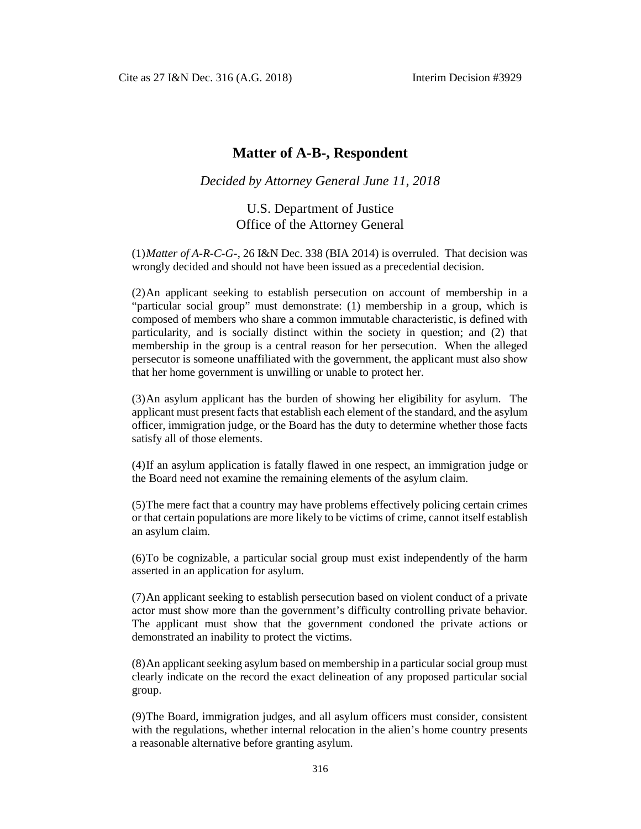Cite as 27 I&N Dec. 316 (A.G. 2018) Interim Decision #3929

# **Matter of A-B-, Respondent**

## *Decided by Attorney General June 11, 2018*

# U.S. Department of Justice Office of the Attorney General

(1)*Matter of A-R-C-G-*, 26 I&N Dec. 338 (BIA 2014) is overruled. That decision was wrongly decided and should not have been issued as a precedential decision.

(2)An applicant seeking to establish persecution on account of membership in a "particular social group" must demonstrate: (1) membership in a group, which is composed of members who share a common immutable characteristic, is defined with particularity, and is socially distinct within the society in question; and (2) that membership in the group is a central reason for her persecution. When the alleged persecutor is someone unaffiliated with the government, the applicant must also show that her home government is unwilling or unable to protect her.

(3)An asylum applicant has the burden of showing her eligibility for asylum. The applicant must present facts that establish each element of the standard, and the asylum officer, immigration judge, or the Board has the duty to determine whether those facts satisfy all of those elements.

(4)If an asylum application is fatally flawed in one respect, an immigration judge or the Board need not examine the remaining elements of the asylum claim.

(5)The mere fact that a country may have problems effectively policing certain crimes or that certain populations are more likely to be victims of crime, cannot itself establish an asylum claim.

(6)To be cognizable, a particular social group must exist independently of the harm asserted in an application for asylum.

(7)An applicant seeking to establish persecution based on violent conduct of a private actor must show more than the government's difficulty controlling private behavior. The applicant must show that the government condoned the private actions or demonstrated an inability to protect the victims.

(8)An applicant seeking asylum based on membership in a particular social group must clearly indicate on the record the exact delineation of any proposed particular social group.

(9)The Board, immigration judges, and all asylum officers must consider, consistent with the regulations, whether internal relocation in the alien's home country presents a reasonable alternative before granting asylum.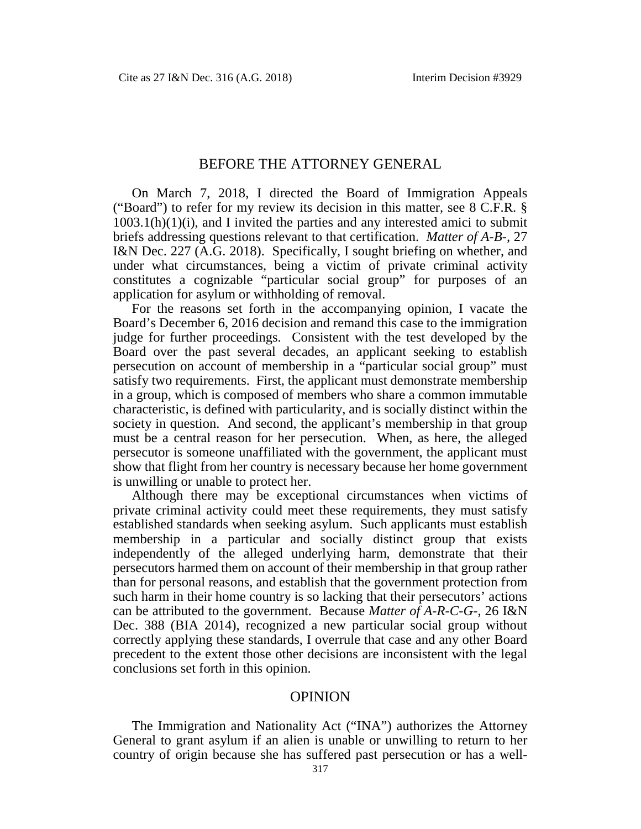## BEFORE THE ATTORNEY GENERAL

On March 7, 2018, I directed the Board of Immigration Appeals ("Board") to refer for my review its decision in this matter, see 8 C.F.R. §  $1003.1(h)(1)(i)$ , and I invited the parties and any interested amici to submit briefs addressing questions relevant to that certification. *Matter of A-B-,* 27 I&N Dec. 227 (A.G. 2018). Specifically, I sought briefing on whether, and under what circumstances, being a victim of private criminal activity constitutes a cognizable "particular social group" for purposes of an application for asylum or withholding of removal.

For the reasons set forth in the accompanying opinion, I vacate the Board's December 6, 2016 decision and remand this case to the immigration judge for further proceedings. Consistent with the test developed by the Board over the past several decades, an applicant seeking to establish persecution on account of membership in a "particular social group" must satisfy two requirements. First, the applicant must demonstrate membership in a group, which is composed of members who share a common immutable characteristic, is defined with particularity, and is socially distinct within the society in question. And second, the applicant's membership in that group must be a central reason for her persecution. When, as here, the alleged persecutor is someone unaffiliated with the government, the applicant must show that flight from her country is necessary because her home government is unwilling or unable to protect her.

Although there may be exceptional circumstances when victims of private criminal activity could meet these requirements, they must satisfy established standards when seeking asylum. Such applicants must establish membership in a particular and socially distinct group that exists independently of the alleged underlying harm, demonstrate that their persecutors harmed them on account of their membership in that group rather than for personal reasons, and establish that the government protection from such harm in their home country is so lacking that their persecutors' actions can be attributed to the government. Because *Matter of A-R-C-G-*, 26 I&N Dec. 388 (BIA 2014), recognized a new particular social group without correctly applying these standards, I overrule that case and any other Board precedent to the extent those other decisions are inconsistent with the legal conclusions set forth in this opinion.

### OPINION

The Immigration and Nationality Act ("INA") authorizes the Attorney General to grant asylum if an alien is unable or unwilling to return to her country of origin because she has suffered past persecution or has a well-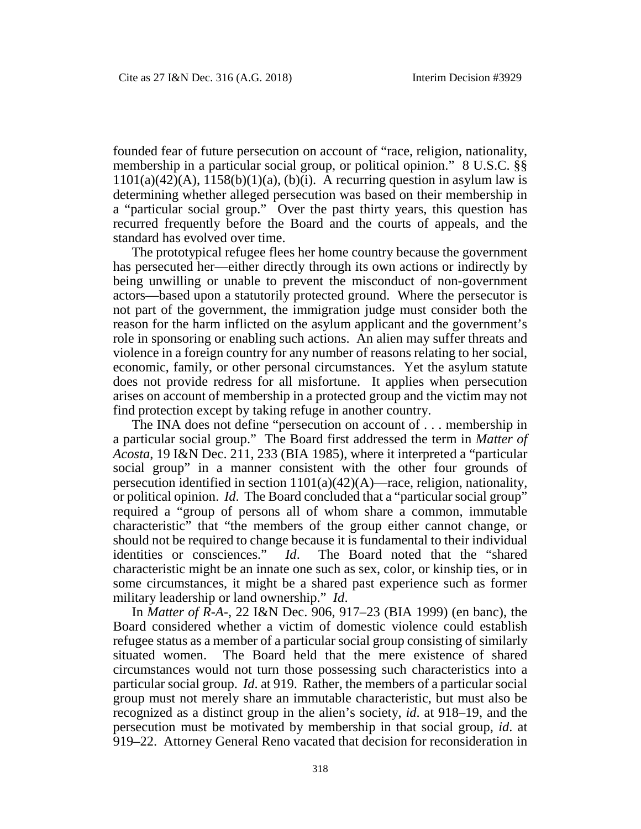founded fear of future persecution on account of "race, religion, nationality, membership in a particular social group, or political opinion." 8 U.S.C. §§  $1101(a)(42)(A)$ ,  $1158(b)(1)(a)$ ,  $(b)(i)$ . A recurring question in asylum law is determining whether alleged persecution was based on their membership in a "particular social group." Over the past thirty years, this question has recurred frequently before the Board and the courts of appeals, and the standard has evolved over time.

The prototypical refugee flees her home country because the government has persecuted her—either directly through its own actions or indirectly by being unwilling or unable to prevent the misconduct of non-government actors—based upon a statutorily protected ground. Where the persecutor is not part of the government, the immigration judge must consider both the reason for the harm inflicted on the asylum applicant and the government's role in sponsoring or enabling such actions. An alien may suffer threats and violence in a foreign country for any number of reasons relating to her social, economic, family, or other personal circumstances. Yet the asylum statute does not provide redress for all misfortune. It applies when persecution arises on account of membership in a protected group and the victim may not find protection except by taking refuge in another country.

The INA does not define "persecution on account of . . . membership in a particular social group." The Board first addressed the term in *Matter of Acosta*, 19 I&N Dec. 211, 233 (BIA 1985), where it interpreted a "particular social group" in a manner consistent with the other four grounds of persecution identified in section  $1101(a)(42)(A)$ —race, religion, nationality, or political opinion. *Id*. The Board concluded that a "particular social group" required a "group of persons all of whom share a common, immutable characteristic" that "the members of the group either cannot change, or should not be required to change because it is fundamental to their individual identities or consciences." *Id*. The Board noted that the "shared characteristic might be an innate one such as sex, color, or kinship ties, or in some circumstances, it might be a shared past experience such as former military leadership or land ownership." *Id*.

In *Matter of R-A-*, 22 I&N Dec. 906, 917–23 (BIA 1999) (en banc), the Board considered whether a victim of domestic violence could establish refugee status as a member of a particular social group consisting of similarly situated women. The Board held that the mere existence of shared circumstances would not turn those possessing such characteristics into a particular social group. *Id*. at 919. Rather, the members of a particular social group must not merely share an immutable characteristic, but must also be recognized as a distinct group in the alien's society, *id*. at 918–19, and the persecution must be motivated by membership in that social group, *id*. at 919–22. Attorney General Reno vacated that decision for reconsideration in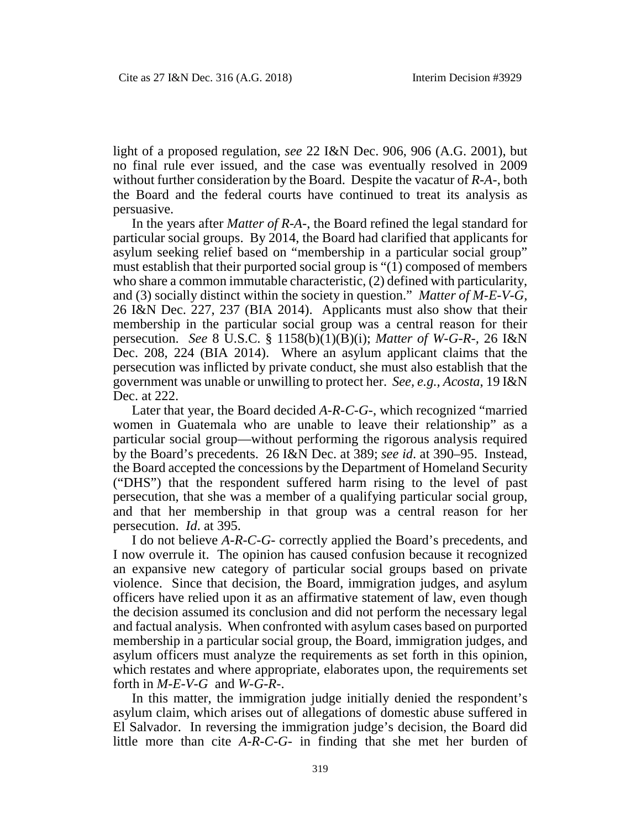light of a proposed regulation, *see* 22 I&N Dec. 906, 906 (A.G. 2001), but no final rule ever issued, and the case was eventually resolved in 2009 without further consideration by the Board. Despite the vacatur of *R-A-*, both the Board and the federal courts have continued to treat its analysis as persuasive.

In the years after *Matter of R-A-*, the Board refined the legal standard for particular social groups. By 2014, the Board had clarified that applicants for asylum seeking relief based on "membership in a particular social group" must establish that their purported social group is "(1) composed of members who share a common immutable characteristic, (2) defined with particularity, and (3) socially distinct within the society in question." *Matter of M-E-V-G,* 26 I&N Dec. 227, 237 (BIA 2014). Applicants must also show that their membership in the particular social group was a central reason for their persecution. *See* 8 U.S.C. § 1158(b)(1)(B)(i); *Matter of W-G-R-,* 26 I&N Dec. 208, 224 (BIA 2014). Where an asylum applicant claims that the persecution was inflicted by private conduct, she must also establish that the government was unable or unwilling to protect her. *See, e.g., Acosta*, 19 I&N Dec. at 222.

Later that year, the Board decided *A-R-C-G-*, which recognized "married women in Guatemala who are unable to leave their relationship" as a particular social group—without performing the rigorous analysis required by the Board's precedents. 26 I&N Dec. at 389; *see id*. at 390–95. Instead, the Board accepted the concessions by the Department of Homeland Security ("DHS") that the respondent suffered harm rising to the level of past persecution, that she was a member of a qualifying particular social group, and that her membership in that group was a central reason for her persecution. *Id*. at 395.

I do not believe *A-R-C-G-* correctly applied the Board's precedents, and I now overrule it. The opinion has caused confusion because it recognized an expansive new category of particular social groups based on private violence. Since that decision, the Board, immigration judges, and asylum officers have relied upon it as an affirmative statement of law, even though the decision assumed its conclusion and did not perform the necessary legal and factual analysis. When confronted with asylum cases based on purported membership in a particular social group, the Board, immigration judges, and asylum officers must analyze the requirements as set forth in this opinion, which restates and where appropriate, elaborates upon, the requirements set forth in *M-E-V-G* and *W-G-R-*.

In this matter, the immigration judge initially denied the respondent's asylum claim, which arises out of allegations of domestic abuse suffered in El Salvador. In reversing the immigration judge's decision, the Board did little more than cite *A-R-C-G-* in finding that she met her burden of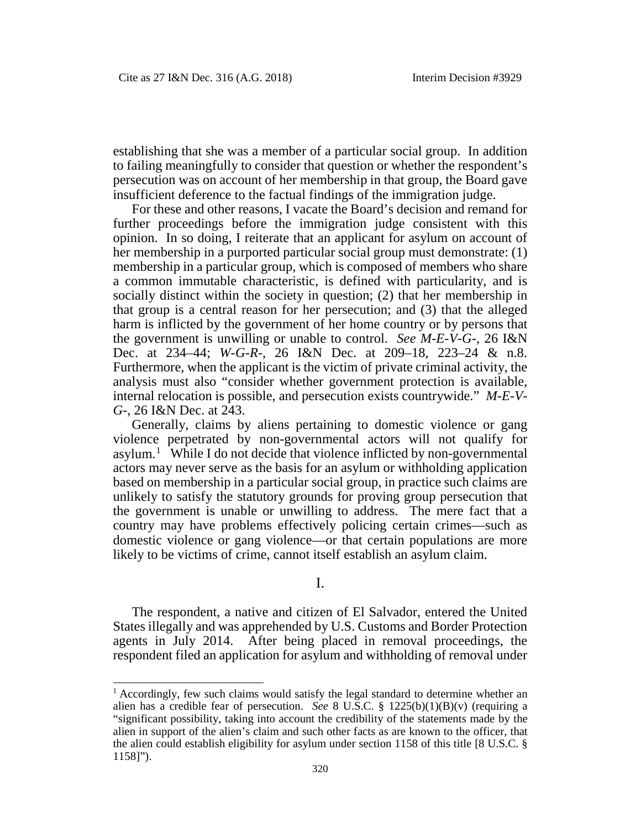establishing that she was a member of a particular social group. In addition to failing meaningfully to consider that question or whether the respondent's persecution was on account of her membership in that group, the Board gave insufficient deference to the factual findings of the immigration judge.

For these and other reasons, I vacate the Board's decision and remand for further proceedings before the immigration judge consistent with this opinion. In so doing, I reiterate that an applicant for asylum on account of her membership in a purported particular social group must demonstrate: (1) membership in a particular group, which is composed of members who share a common immutable characteristic, is defined with particularity, and is socially distinct within the society in question; (2) that her membership in that group is a central reason for her persecution; and (3) that the alleged harm is inflicted by the government of her home country or by persons that the government is unwilling or unable to control. *See M-E-V-G-*, 26 I&N Dec. at 234–44; *W-G-R-*, 26 I&N Dec. at 209–18, 223–24 & n.8. Furthermore, when the applicant is the victim of private criminal activity, the analysis must also "consider whether government protection is available, internal relocation is possible, and persecution exists countrywide." *M-E-V-G*-, 26 I&N Dec. at 243.

Generally, claims by aliens pertaining to domestic violence or gang violence perpetrated by non-governmental actors will not qualify for asylum.<sup>[1](#page-4-0)</sup> While I do not decide that violence inflicted by non-governmental actors may never serve as the basis for an asylum or withholding application based on membership in a particular social group, in practice such claims are unlikely to satisfy the statutory grounds for proving group persecution that the government is unable or unwilling to address. The mere fact that a country may have problems effectively policing certain crimes—such as domestic violence or gang violence—or that certain populations are more likely to be victims of crime, cannot itself establish an asylum claim.

I.

The respondent, a native and citizen of El Salvador, entered the United States illegally and was apprehended by U.S. Customs and Border Protection agents in July 2014. After being placed in removal proceedings, the respondent filed an application for asylum and withholding of removal under

<span id="page-4-0"></span><sup>&</sup>lt;sup>1</sup> Accordingly, few such claims would satisfy the legal standard to determine whether an alien has a credible fear of persecution. *See* 8 U.S.C. § 1225(b)(1)(B)(v) (requiring a "significant possibility, taking into account the credibility of the statements made by the alien in support of the alien's claim and such other facts as are known to the officer, that the alien could establish eligibility for asylum under section 1158 of this title [8 U.S.C. § 1158]").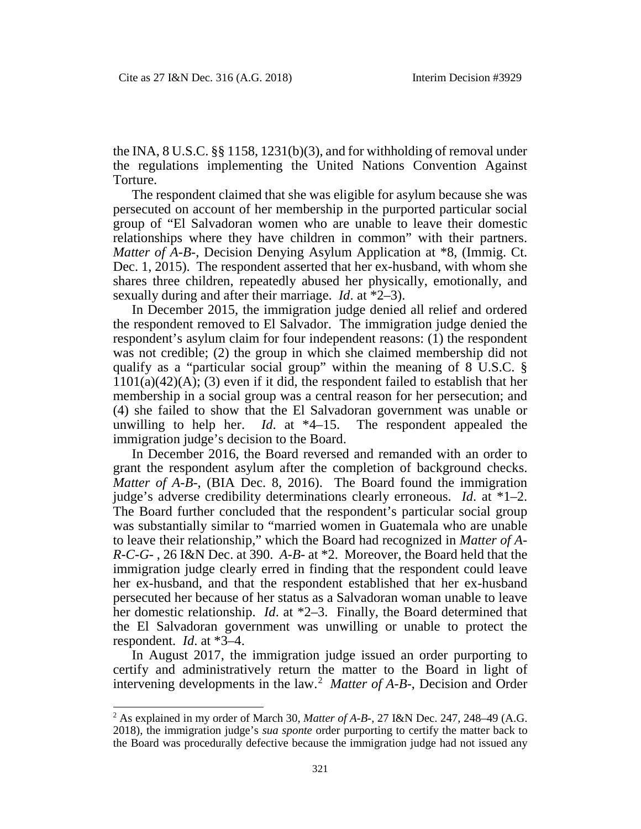the INA, 8 U.S.C. §§ 1158, 1231(b)(3), and for withholding of removal under the regulations implementing the United Nations Convention Against Torture.

The respondent claimed that she was eligible for asylum because she was persecuted on account of her membership in the purported particular social group of "El Salvadoran women who are unable to leave their domestic relationships where they have children in common" with their partners. *Matter of A-B-*, Decision Denying Asylum Application at \*8, (Immig. Ct. Dec. 1, 2015). The respondent asserted that her ex-husband, with whom she shares three children, repeatedly abused her physically, emotionally, and sexually during and after their marriage. *Id*. at \*2–3).

In December 2015, the immigration judge denied all relief and ordered the respondent removed to El Salvador. The immigration judge denied the respondent's asylum claim for four independent reasons: (1) the respondent was not credible; (2) the group in which she claimed membership did not qualify as a "particular social group" within the meaning of 8 U.S.C. §  $1101(a)(42)(A)$ ; (3) even if it did, the respondent failed to establish that her membership in a social group was a central reason for her persecution; and (4) she failed to show that the El Salvadoran government was unable or unwilling to help her. *Id*. at \*4–15. The respondent appealed the immigration judge's decision to the Board.

In December 2016, the Board reversed and remanded with an order to grant the respondent asylum after the completion of background checks. *Matter of A-B-*, (BIA Dec. 8, 2016). The Board found the immigration judge's adverse credibility determinations clearly erroneous. *Id*. at \*1–2. The Board further concluded that the respondent's particular social group was substantially similar to "married women in Guatemala who are unable to leave their relationship," which the Board had recognized in *Matter of A-R-C-G-* , 26 I&N Dec. at 390. *A-B-* at \*2. Moreover, the Board held that the immigration judge clearly erred in finding that the respondent could leave her ex-husband, and that the respondent established that her ex-husband persecuted her because of her status as a Salvadoran woman unable to leave her domestic relationship. *Id*. at \*2–3. Finally, the Board determined that the El Salvadoran government was unwilling or unable to protect the respondent. *Id*. at \*3–4.

In August 2017, the immigration judge issued an order purporting to certify and administratively return the matter to the Board in light of intervening developments in the law.<sup>[2](#page-5-0)</sup> Matter of A-B-, Decision and Order

<span id="page-5-0"></span> <sup>2</sup> As explained in my order of March 30, *Matter of A-B-*, 27 I&N Dec. 247, 248–49 (A.G. 2018), the immigration judge's *sua sponte* order purporting to certify the matter back to the Board was procedurally defective because the immigration judge had not issued any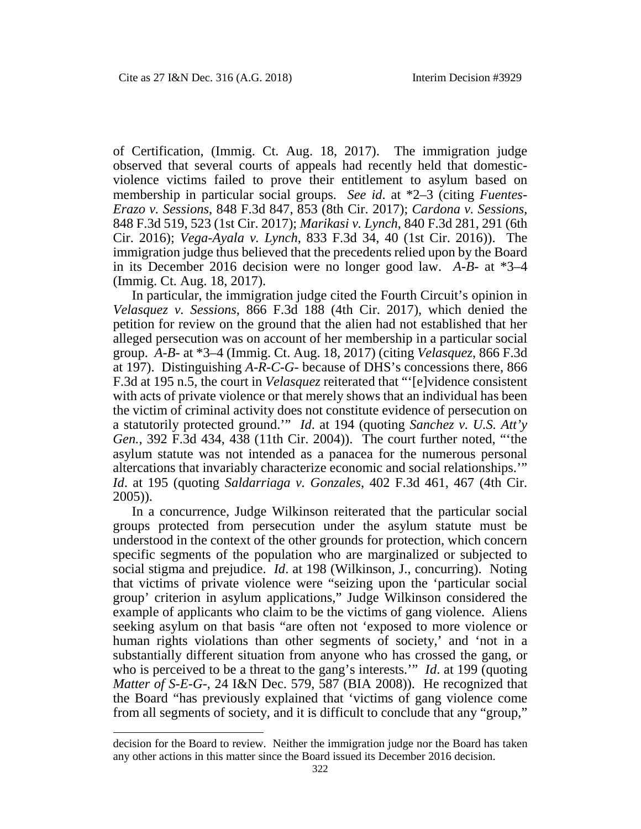of Certification, (Immig. Ct. Aug. 18, 2017). The immigration judge observed that several courts of appeals had recently held that domesticviolence victims failed to prove their entitlement to asylum based on membership in particular social groups. *See id*. at \*2–3 (citing *Fuentes-Erazo v. Sessions*, 848 F.3d 847, 853 (8th Cir. 2017); *Cardona v. Sessions*, 848 F.3d 519, 523 (1st Cir. 2017); *Marikasi v. Lynch*, 840 F.3d 281, 291 (6th Cir. 2016); *Vega-Ayala v. Lynch*, 833 F.3d 34, 40 (1st Cir. 2016)). The immigration judge thus believed that the precedents relied upon by the Board in its December 2016 decision were no longer good law. *A-B-* at \*3–4 (Immig. Ct. Aug. 18, 2017).

In particular, the immigration judge cited the Fourth Circuit's opinion in *Velasquez v. Sessions*, 866 F.3d 188 (4th Cir. 2017), which denied the petition for review on the ground that the alien had not established that her alleged persecution was on account of her membership in a particular social group. *A-B-* at \*3–4 (Immig. Ct. Aug. 18, 2017) (citing *Velasquez*, 866 F.3d at 197). Distinguishing *A-R-C-G-* because of DHS's concessions there, 866 F.3d at 195 n.5, the court in *Velasquez* reiterated that "'[e]vidence consistent with acts of private violence or that merely shows that an individual has been the victim of criminal activity does not constitute evidence of persecution on a statutorily protected ground.'" *Id*. at 194 (quoting *Sanchez v. U.S. Att'y Gen.*, 392 F.3d 434, 438 (11th Cir. 2004)). The court further noted, "'the asylum statute was not intended as a panacea for the numerous personal altercations that invariably characterize economic and social relationships.'" *Id*. at 195 (quoting *Saldarriaga v. Gonzales*, 402 F.3d 461, 467 (4th Cir. 2005)).

In a concurrence, Judge Wilkinson reiterated that the particular social groups protected from persecution under the asylum statute must be understood in the context of the other grounds for protection, which concern specific segments of the population who are marginalized or subjected to social stigma and prejudice. *Id*. at 198 (Wilkinson, J., concurring). Noting that victims of private violence were "seizing upon the 'particular social group' criterion in asylum applications," Judge Wilkinson considered the example of applicants who claim to be the victims of gang violence. Aliens seeking asylum on that basis "are often not 'exposed to more violence or human rights violations than other segments of society,' and 'not in a substantially different situation from anyone who has crossed the gang, or who is perceived to be a threat to the gang's interests.'" *Id*. at 199 (quoting *Matter of S-E-G-*, 24 I&N Dec. 579, 587 (BIA 2008)). He recognized that the Board "has previously explained that 'victims of gang violence come from all segments of society, and it is difficult to conclude that any "group,"

 $\overline{a}$ 

decision for the Board to review. Neither the immigration judge nor the Board has taken any other actions in this matter since the Board issued its December 2016 decision.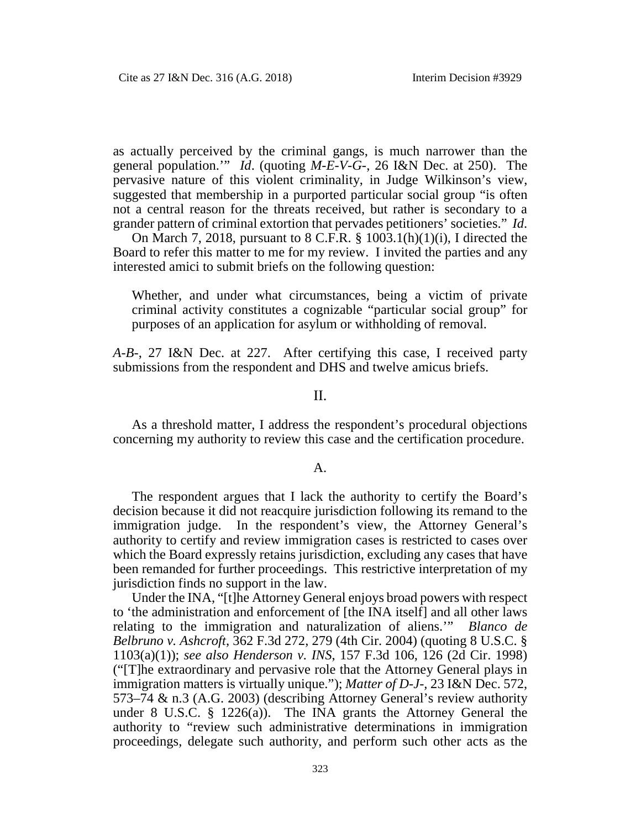as actually perceived by the criminal gangs, is much narrower than the general population.'" *Id*. (quoting *M-E-V-G-*, 26 I&N Dec. at 250). The pervasive nature of this violent criminality, in Judge Wilkinson's view, suggested that membership in a purported particular social group "is often not a central reason for the threats received, but rather is secondary to a grander pattern of criminal extortion that pervades petitioners' societies." *Id*.

On March 7, 2018, pursuant to  $8$  C.F.R.  $\S$  1003.1(h)(1)(i), I directed the Board to refer this matter to me for my review. I invited the parties and any interested amici to submit briefs on the following question:

Whether, and under what circumstances, being a victim of private criminal activity constitutes a cognizable "particular social group" for purposes of an application for asylum or withholding of removal.

*A-B-*, 27 I&N Dec. at 227. After certifying this case, I received party submissions from the respondent and DHS and twelve amicus briefs.

## II.

As a threshold matter, I address the respondent's procedural objections concerning my authority to review this case and the certification procedure.

#### A.

The respondent argues that I lack the authority to certify the Board's decision because it did not reacquire jurisdiction following its remand to the immigration judge. In the respondent's view, the Attorney General's authority to certify and review immigration cases is restricted to cases over which the Board expressly retains jurisdiction, excluding any cases that have been remanded for further proceedings. This restrictive interpretation of my jurisdiction finds no support in the law.

Under the INA, "[t]he Attorney General enjoys broad powers with respect to 'the administration and enforcement of [the INA itself] and all other laws relating to the immigration and naturalization of aliens.'" *Blanco de Belbruno v. Ashcroft*, 362 F.3d 272, 279 (4th Cir. 2004) (quoting 8 U.S.C. § 1103(a)(1)); *see also Henderson v. INS*, 157 F.3d 106, 126 (2d Cir. 1998) ("[T]he extraordinary and pervasive role that the Attorney General plays in immigration matters is virtually unique."); *Matter of D-J-,* 23 I&N Dec. 572, 573–74 & n.3 (A.G. 2003) (describing Attorney General's review authority under 8 U.S.C. § 1226(a)). The INA grants the Attorney General the authority to "review such administrative determinations in immigration proceedings, delegate such authority, and perform such other acts as the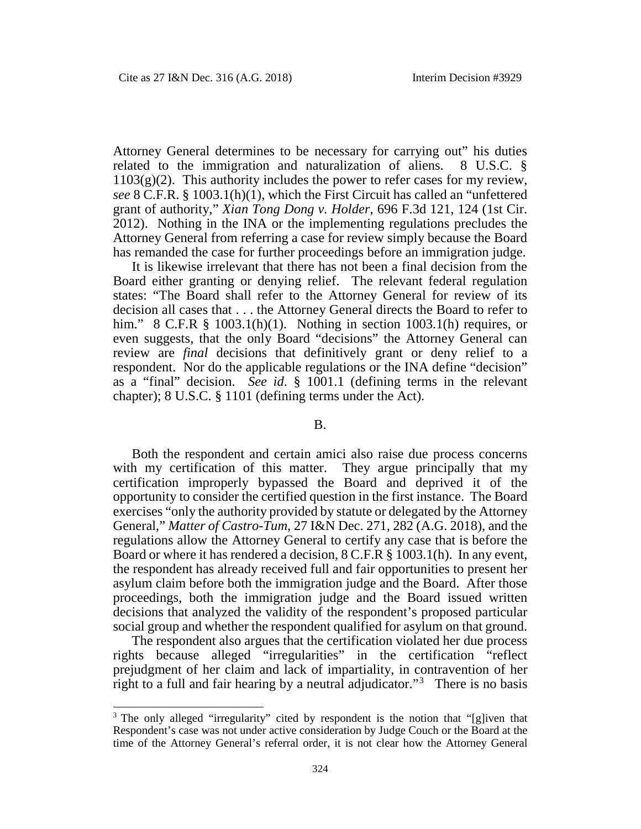Attorney General determines to be necessary for carrying out" his duties related to the immigration and naturalization of aliens. 8 U.S.C. §  $1103(g)(2)$ . This authority includes the power to refer cases for my review, *see* 8 C.F.R. § 1003.1(h)(1), which the First Circuit has called an "unfettered grant of authority," *Xian Tong Dong v. Holder*, 696 F.3d 121, 124 (1st Cir. 2012). Nothing in the INA or the implementing regulations precludes the Attorney General from referring a case for review simply because the Board has remanded the case for further proceedings before an immigration judge.

It is likewise irrelevant that there has not been a final decision from the Board either granting or denying relief. The relevant federal regulation states: "The Board shall refer to the Attorney General for review of its decision all cases that . . . the Attorney General directs the Board to refer to him." 8 C.F.R § 1003.1(h)(1). Nothing in section 1003.1(h) requires, or even suggests, that the only Board "decisions" the Attorney General can review are *final* decisions that definitively grant or deny relief to a respondent. Nor do the applicable regulations or the INA define "decision" as a "final" decision. *See id*. § 1001.1 (defining terms in the relevant chapter); 8 U.S.C. § 1101 (defining terms under the Act).

### B.

Both the respondent and certain amici also raise due process concerns with my certification of this matter. They argue principally that my certification improperly bypassed the Board and deprived it of the opportunity to consider the certified question in the first instance. The Board exercises "only the authority provided by statute or delegated by the Attorney General," *Matter of Castro-Tum*, 27 I&N Dec. 271, 282 (A.G. 2018), and the regulations allow the Attorney General to certify any case that is before the Board or where it has rendered a decision, 8 C.F.R § 1003.1(h). In any event, the respondent has already received full and fair opportunities to present her asylum claim before both the immigration judge and the Board. After those proceedings, both the immigration judge and the Board issued written decisions that analyzed the validity of the respondent's proposed particular social group and whether the respondent qualified for asylum on that ground.

The respondent also argues that the certification violated her due process rights because alleged "irregularities" in the certification "reflect prejudgment of her claim and lack of impartiality, in contravention of her right to a full and fair hearing by a neutral adjudicator."[3](#page-8-0) There is no basis

<span id="page-8-0"></span><sup>&</sup>lt;sup>3</sup> The only alleged "irregularity" cited by respondent is the notion that "[g]iven that Respondent's case was not under active consideration by Judge Couch or the Board at the time of the Attorney General's referral order, it is not clear how the Attorney General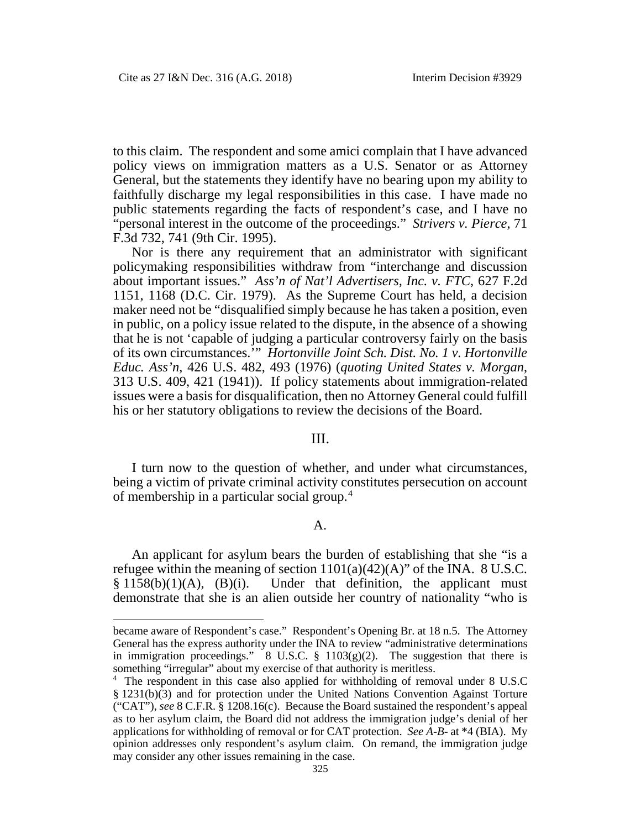$\overline{a}$ 

to this claim. The respondent and some amici complain that I have advanced policy views on immigration matters as a U.S. Senator or as Attorney General, but the statements they identify have no bearing upon my ability to faithfully discharge my legal responsibilities in this case. I have made no public statements regarding the facts of respondent's case, and I have no "personal interest in the outcome of the proceedings." *Strivers v. Pierce*, 71 F.3d 732, 741 (9th Cir. 1995).

Nor is there any requirement that an administrator with significant policymaking responsibilities withdraw from "interchange and discussion about important issues." *Ass'n of Nat'l Advertisers, Inc. v. FTC*, 627 F.2d 1151, 1168 (D.C. Cir. 1979). As the Supreme Court has held, a decision maker need not be "disqualified simply because he has taken a position, even in public, on a policy issue related to the dispute, in the absence of a showing that he is not 'capable of judging a particular controversy fairly on the basis of its own circumstances.'" *Hortonville Joint Sch. Dist. No. 1 v. Hortonville Educ. Ass'n*, 426 U.S. 482, 493 (1976) (*quoting United States v. Morgan*, 313 U.S. 409, 421 (1941)). If policy statements about immigration-related issues were a basis for disqualification, then no Attorney General could fulfill his or her statutory obligations to review the decisions of the Board.

### III.

I turn now to the question of whether, and under what circumstances, being a victim of private criminal activity constitutes persecution on account of membership in a particular social group.[4](#page-9-0)

### A.

An applicant for asylum bears the burden of establishing that she "is a refugee within the meaning of section  $1101(a)(42)(A)$ " of the INA. 8 U.S.C.  $§ 1158(b)(1)(A), (B)(i).$  Under that definition, the applicant must demonstrate that she is an alien outside her country of nationality "who is

became aware of Respondent's case." Respondent's Opening Br. at 18 n.5. The Attorney General has the express authority under the INA to review "administrative determinations in immigration proceedings."  $8 \text{ U.S.C. }$   $\frac{103(g)(2)}{2}$ . The suggestion that there is something "irregular" about my exercise of that authority is meritless.

<span id="page-9-0"></span><sup>&</sup>lt;sup>4</sup> The respondent in this case also applied for withholding of removal under 8 U.S.C § 1231(b)(3) and for protection under the United Nations Convention Against Torture ("CAT"), *see* 8 C.F.R. § 1208.16(c). Because the Board sustained the respondent's appeal as to her asylum claim, the Board did not address the immigration judge's denial of her applications for withholding of removal or for CAT protection. *See A-B-* at \*4 (BIA). My opinion addresses only respondent's asylum claim. On remand, the immigration judge may consider any other issues remaining in the case.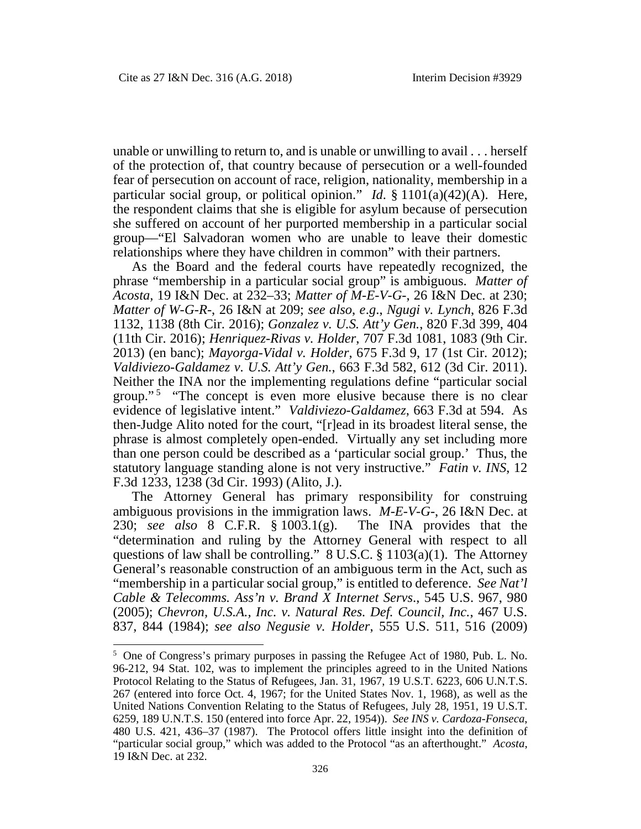unable or unwilling to return to, and is unable or unwilling to avail . . . herself of the protection of, that country because of persecution or a well-founded fear of persecution on account of race, religion, nationality, membership in a particular social group, or political opinion." *Id*. § 1101(a)(42)(A). Here, the respondent claims that she is eligible for asylum because of persecution she suffered on account of her purported membership in a particular social group—"El Salvadoran women who are unable to leave their domestic relationships where they have children in common" with their partners.

As the Board and the federal courts have repeatedly recognized, the phrase "membership in a particular social group" is ambiguous. *Matter of Acosta,* 19 I&N Dec. at 232–33; *Matter of M-E-V-G-*, 26 I&N Dec. at 230; *Matter of W-G-R-*, 26 I&N at 209; *see also*, *e*.*g*., *Ngugi v. Lynch*, 826 F.3d 1132, 1138 (8th Cir. 2016); *Gonzalez v. U.S. Att'y Gen.*, 820 F.3d 399, 404 (11th Cir. 2016); *Henriquez-Rivas v. Holder*, 707 F.3d 1081, 1083 (9th Cir. 2013) (en banc); *Mayorga-Vidal v. Holder*, 675 F.3d 9, 17 (1st Cir. 2012); *Valdiviezo-Galdamez v. U.S. Att'y Gen.*, 663 F.3d 582, 612 (3d Cir. 2011). Neither the INA nor the implementing regulations define "particular social group."<sup>[5](#page-10-0)</sup> "The concept is even more elusive because there is no clear evidence of legislative intent." *Valdiviezo-Galdamez*, 663 F.3d at 594. As then-Judge Alito noted for the court, "[r]ead in its broadest literal sense, the phrase is almost completely open-ended. Virtually any set including more than one person could be described as a 'particular social group.' Thus, the statutory language standing alone is not very instructive." *Fatin v. INS*, 12 F.3d 1233, 1238 (3d Cir. 1993) (Alito, J.).

The Attorney General has primary responsibility for construing ambiguous provisions in the immigration laws. *M-E-V-G-*, 26 I&N Dec. at 230; *see also* 8 C.F.R. § 1003.1(g). The INA provides that the "determination and ruling by the Attorney General with respect to all questions of law shall be controlling."  $8 \text{ U.S.C.} \$ § 1103(a)(1). The Attorney General's reasonable construction of an ambiguous term in the Act, such as "membership in a particular social group," is entitled to deference. *See Nat'l Cable & Telecomms. Ass'n v. Brand X Internet Servs*., 545 U.S. 967, 980 (2005); *Chevron, U.S.A., Inc. v. Natural Res. Def. Council, Inc.*, 467 U.S. 837, 844 (1984); *see also Negusie v. Holder*, 555 U.S. 511, 516 (2009)

<span id="page-10-0"></span><sup>&</sup>lt;sup>5</sup> One of Congress's primary purposes in passing the Refugee Act of 1980, Pub. L. No. 96-212, 94 Stat. 102, was to implement the principles agreed to in the United Nations Protocol Relating to the Status of Refugees, Jan. 31, 1967, 19 U.S.T. 6223, 606 U.N.T.S. 267 (entered into force Oct. 4, 1967; for the United States Nov. 1, 1968), as well as the United Nations Convention Relating to the Status of Refugees, July 28, 1951, 19 U.S.T. 6259, 189 U.N.T.S. 150 (entered into force Apr. 22, 1954)). *See INS v. Cardoza-Fonseca*, 480 U.S. 421, 436–37 (1987). The Protocol offers little insight into the definition of "particular social group," which was added to the Protocol "as an afterthought." *Acosta*, 19 I&N Dec. at 232.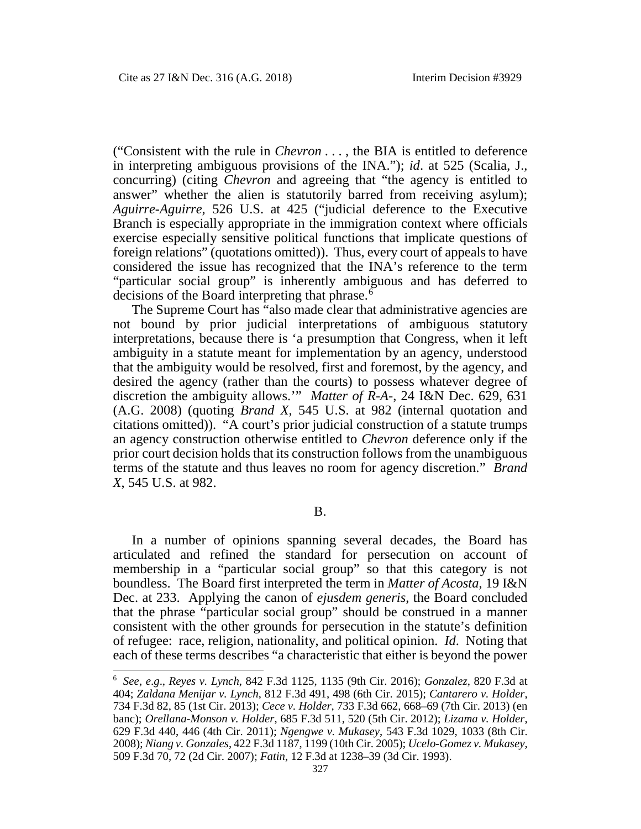("Consistent with the rule in *Chevron* . . . , the BIA is entitled to deference in interpreting ambiguous provisions of the INA."); *id*. at 525 (Scalia, J., concurring) (citing *Chevron* and agreeing that "the agency is entitled to answer" whether the alien is statutorily barred from receiving asylum); *Aguirre-Aguirre*, 526 U.S. at 425 ("judicial deference to the Executive Branch is especially appropriate in the immigration context where officials exercise especially sensitive political functions that implicate questions of foreign relations" (quotations omitted)). Thus, every court of appeals to have considered the issue has recognized that the INA's reference to the term "particular social group" is inherently ambiguous and has deferred to decisions of the Board interpreting that phrase.<sup>[6](#page-11-0)</sup>

The Supreme Court has "also made clear that administrative agencies are not bound by prior judicial interpretations of ambiguous statutory interpretations, because there is 'a presumption that Congress, when it left ambiguity in a statute meant for implementation by an agency, understood that the ambiguity would be resolved, first and foremost, by the agency, and desired the agency (rather than the courts) to possess whatever degree of discretion the ambiguity allows.'" *Matter of R-A-*, 24 I&N Dec. 629, 631 (A.G. 2008) (quoting *Brand X*, 545 U.S. at 982 (internal quotation and citations omitted)). "A court's prior judicial construction of a statute trumps an agency construction otherwise entitled to *Chevron* deference only if the prior court decision holds that its construction follows from the unambiguous terms of the statute and thus leaves no room for agency discretion." *Brand X*, 545 U.S. at 982.

B.

In a number of opinions spanning several decades, the Board has articulated and refined the standard for persecution on account of membership in a "particular social group" so that this category is not boundless. The Board first interpreted the term in *Matter of Acosta*, 19 I&N Dec. at 233. Applying the canon of *ejusdem generis*, the Board concluded that the phrase "particular social group" should be construed in a manner consistent with the other grounds for persecution in the statute's definition of refugee: race, religion, nationality, and political opinion. *Id*. Noting that each of these terms describes "a characteristic that either is beyond the power

<span id="page-11-0"></span> <sup>6</sup> *See*, *e*.*g*., *Reyes v. Lynch*, 842 F.3d 1125, 1135 (9th Cir. 2016); *Gonzalez*, 820 F.3d at 404; *Zaldana Menijar v. Lynch*, 812 F.3d 491, 498 (6th Cir. 2015); *Cantarero v. Holder*, 734 F.3d 82, 85 (1st Cir. 2013); *Cece v. Holder*, 733 F.3d 662, 668–69 (7th Cir. 2013) (en banc); *Orellana-Monson v. Holder*, 685 F.3d 511, 520 (5th Cir. 2012); *Lizama v. Holder*, 629 F.3d 440, 446 (4th Cir. 2011); *Ngengwe v. Mukasey*, 543 F.3d 1029, 1033 (8th Cir. 2008); *Niang v. Gonzales*, 422 F.3d 1187, 1199 (10th Cir. 2005); *Ucelo-Gomez v. Mukasey*, 509 F.3d 70, 72 (2d Cir. 2007); *Fatin*, 12 F.3d at 1238–39 (3d Cir. 1993).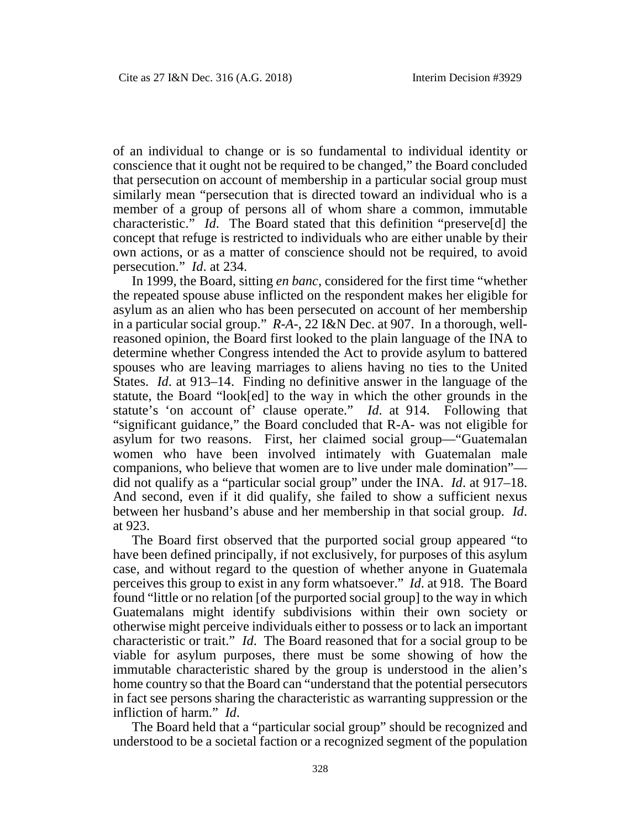of an individual to change or is so fundamental to individual identity or conscience that it ought not be required to be changed," the Board concluded that persecution on account of membership in a particular social group must similarly mean "persecution that is directed toward an individual who is a member of a group of persons all of whom share a common, immutable characteristic." *Id*. The Board stated that this definition "preserve[d] the concept that refuge is restricted to individuals who are either unable by their own actions, or as a matter of conscience should not be required, to avoid persecution." *Id*. at 234.

In 1999, the Board, sitting *en banc*, considered for the first time "whether the repeated spouse abuse inflicted on the respondent makes her eligible for asylum as an alien who has been persecuted on account of her membership in a particular social group." *R-A-*, 22 I&N Dec. at 907. In a thorough, wellreasoned opinion, the Board first looked to the plain language of the INA to determine whether Congress intended the Act to provide asylum to battered spouses who are leaving marriages to aliens having no ties to the United States. *Id*. at 913–14. Finding no definitive answer in the language of the statute, the Board "look[ed] to the way in which the other grounds in the statute's 'on account of' clause operate." *Id*. at 914. Following that "significant guidance," the Board concluded that R-A- was not eligible for asylum for two reasons. First, her claimed social group—"Guatemalan women who have been involved intimately with Guatemalan male companions, who believe that women are to live under male domination" did not qualify as a "particular social group" under the INA. *Id*. at 917–18. And second, even if it did qualify, she failed to show a sufficient nexus between her husband's abuse and her membership in that social group. *Id*. at 923.

The Board first observed that the purported social group appeared "to have been defined principally, if not exclusively, for purposes of this asylum case, and without regard to the question of whether anyone in Guatemala perceives this group to exist in any form whatsoever." *Id*. at 918. The Board found "little or no relation [of the purported social group] to the way in which Guatemalans might identify subdivisions within their own society or otherwise might perceive individuals either to possess or to lack an important characteristic or trait." *Id*. The Board reasoned that for a social group to be viable for asylum purposes, there must be some showing of how the immutable characteristic shared by the group is understood in the alien's home country so that the Board can "understand that the potential persecutors in fact see persons sharing the characteristic as warranting suppression or the infliction of harm." *Id*.

The Board held that a "particular social group" should be recognized and understood to be a societal faction or a recognized segment of the population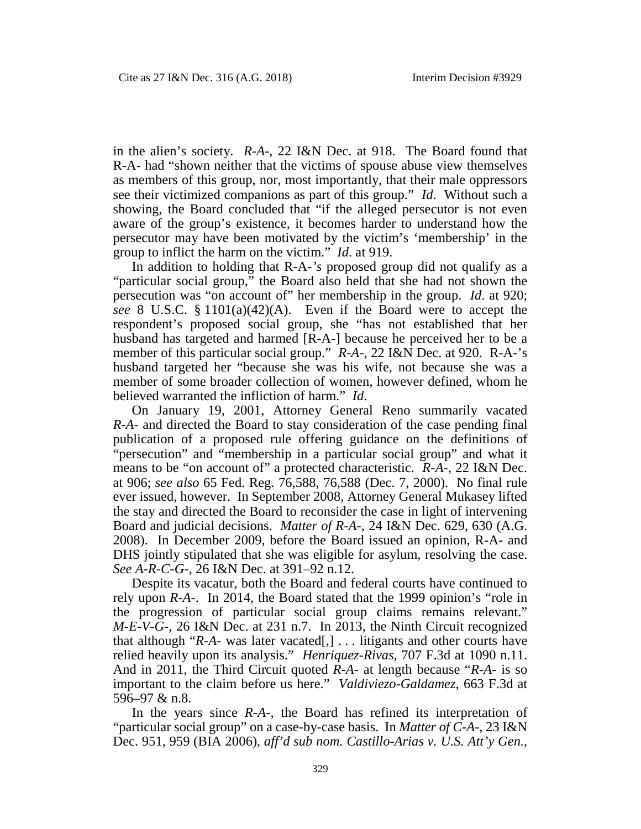in the alien's society. *R-A-*, 22 I&N Dec. at 918. The Board found that R-A- had "shown neither that the victims of spouse abuse view themselves as members of this group, nor, most importantly, that their male oppressors see their victimized companions as part of this group." *Id*. Without such a showing, the Board concluded that "if the alleged persecutor is not even aware of the group's existence, it becomes harder to understand how the persecutor may have been motivated by the victim's 'membership' in the group to inflict the harm on the victim." *Id*. at 919.

In addition to holding that R-A-*'s* proposed group did not qualify as a "particular social group," the Board also held that she had not shown the persecution was "on account of" her membership in the group. *Id*. at 920; *see* 8 U.S.C. § 1101(a)(42)(A). Even if the Board were to accept the respondent's proposed social group, she "has not established that her husband has targeted and harmed [R-A*-*] because he perceived her to be a member of this particular social group." *R-A-*, 22 I&N Dec. at 920. R-A-'s husband targeted her "because she was his wife, not because she was a member of some broader collection of women, however defined, whom he believed warranted the infliction of harm." *Id*.

On January 19, 2001, Attorney General Reno summarily vacated *R-A-* and directed the Board to stay consideration of the case pending final publication of a proposed rule offering guidance on the definitions of "persecution" and "membership in a particular social group" and what it means to be "on account of" a protected characteristic. *R-A-*, 22 I&N Dec. at 906; *see also* 65 Fed. Reg. 76,588, 76,588 (Dec. 7, 2000). No final rule ever issued, however. In September 2008, Attorney General Mukasey lifted the stay and directed the Board to reconsider the case in light of intervening Board and judicial decisions. *Matter of R-A-*, 24 I&N Dec. 629, 630 (A.G. 2008). In December 2009, before the Board issued an opinion, R-A- and DHS jointly stipulated that she was eligible for asylum, resolving the case. *See A-R-C-G-*, 26 I&N Dec. at 391–92 n.12.

Despite its vacatur, both the Board and federal courts have continued to rely upon *R-A-*. In 2014, the Board stated that the 1999 opinion's "role in the progression of particular social group claims remains relevant." *M-E-V-G-*, 26 I&N Dec. at 231 n.7. In 2013, the Ninth Circuit recognized that although "*R-A-* was later vacated[,] . . . litigants and other courts have relied heavily upon its analysis." *Henriquez-Rivas*, 707 F.3d at 1090 n.11. And in 2011, the Third Circuit quoted *R-A-* at length because "*R-A-* is so important to the claim before us here." *Valdiviezo-Galdamez*, 663 F.3d at 596–97 & n.8.

In the years since *R-A-*, the Board has refined its interpretation of "particular social group" on a case-by-case basis. In *Matter of C-A-*, 23 I&N Dec. 951, 959 (BIA 2006), *aff'd sub nom. Castillo-Arias v. U.S. Att'y Gen.*,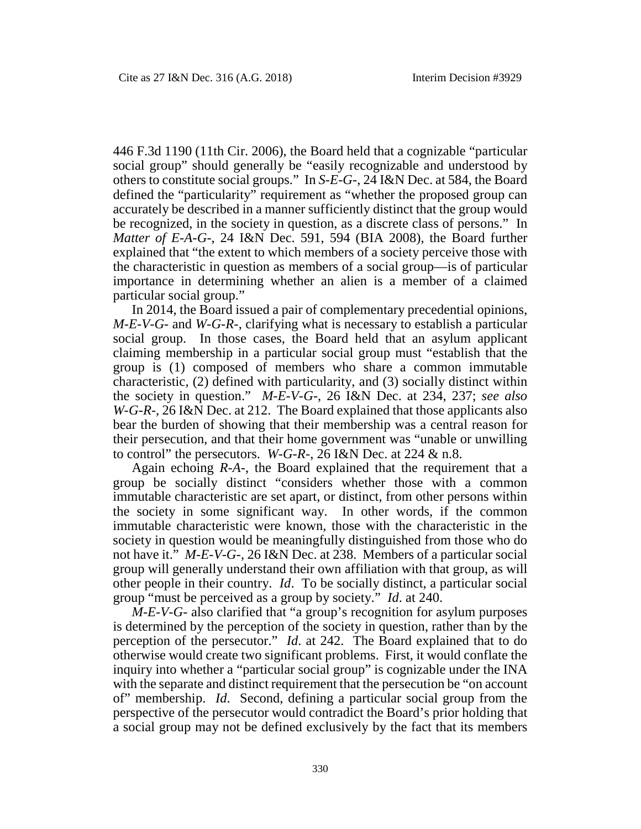446 F.3d 1190 (11th Cir. 2006), the Board held that a cognizable "particular social group" should generally be "easily recognizable and understood by others to constitute social groups." In *S-E-G-*, 24 I&N Dec. at 584, the Board defined the "particularity" requirement as "whether the proposed group can accurately be described in a manner sufficiently distinct that the group would be recognized, in the society in question, as a discrete class of persons." In *Matter of E-A-G-*, 24 I&N Dec. 591, 594 (BIA 2008), the Board further explained that "the extent to which members of a society perceive those with the characteristic in question as members of a social group—is of particular importance in determining whether an alien is a member of a claimed particular social group."

In 2014, the Board issued a pair of complementary precedential opinions, *M-E-V-G-* and *W-G-R-*, clarifying what is necessary to establish a particular social group. In those cases, the Board held that an asylum applicant claiming membership in a particular social group must "establish that the group is (1) composed of members who share a common immutable characteristic, (2) defined with particularity, and (3) socially distinct within the society in question." *M-E-V-G-*, 26 I&N Dec. at 234, 237; *see also W-G-R-*, 26 I&N Dec. at 212. The Board explained that those applicants also bear the burden of showing that their membership was a central reason for their persecution, and that their home government was "unable or unwilling to control" the persecutors. *W-G-R-*, 26 I&N Dec. at 224 & n.8.

Again echoing *R-A-*, the Board explained that the requirement that a group be socially distinct "considers whether those with a common immutable characteristic are set apart, or distinct, from other persons within the society in some significant way. In other words, if the common immutable characteristic were known, those with the characteristic in the society in question would be meaningfully distinguished from those who do not have it." *M-E-V-G-*, 26 I&N Dec. at 238. Members of a particular social group will generally understand their own affiliation with that group, as will other people in their country. *Id*. To be socially distinct, a particular social group "must be perceived as a group by society." *Id*. at 240.

*M-E-V-G-* also clarified that "a group's recognition for asylum purposes is determined by the perception of the society in question, rather than by the perception of the persecutor." *Id*. at 242. The Board explained that to do otherwise would create two significant problems. First, it would conflate the inquiry into whether a "particular social group" is cognizable under the INA with the separate and distinct requirement that the persecution be "on account of" membership. *Id*. Second, defining a particular social group from the perspective of the persecutor would contradict the Board's prior holding that a social group may not be defined exclusively by the fact that its members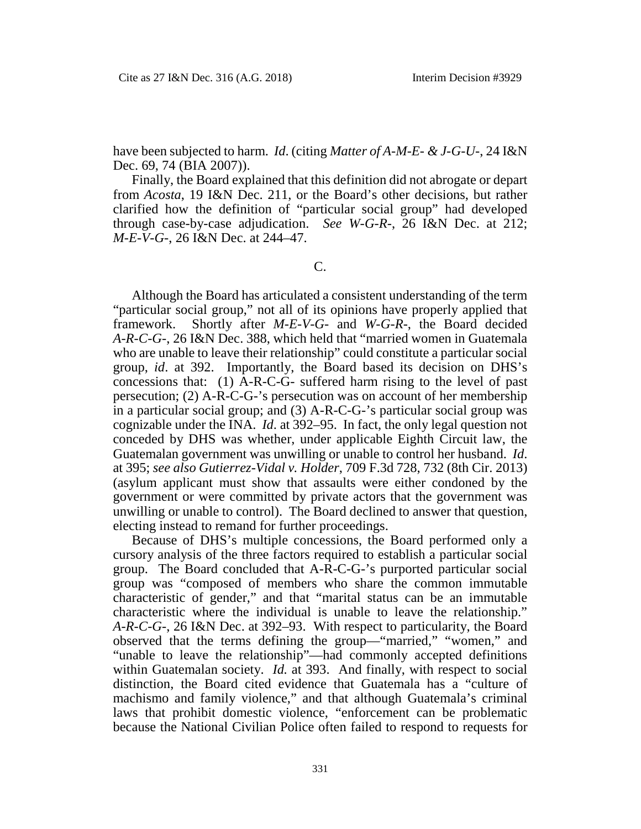have been subjected to harm. *Id*. (citing *Matter of A-M-E- & J-G-U-*, 24 I&N Dec. 69, 74 (BIA 2007)).

Finally, the Board explained that this definition did not abrogate or depart from *Acosta*, 19 I&N Dec. 211, or the Board's other decisions, but rather clarified how the definition of "particular social group" had developed through case-by-case adjudication. *See W-G-R-*, 26 I&N Dec. at 212; *M-E-V-G-*, 26 I&N Dec. at 244–47.

## C.

Although the Board has articulated a consistent understanding of the term "particular social group," not all of its opinions have properly applied that framework. Shortly after *M-E-V-G-* and *W-G-R-*, the Board decided *A-R-C-G-*, 26 I&N Dec. 388, which held that "married women in Guatemala who are unable to leave their relationship" could constitute a particular social group, *id*. at 392. Importantly, the Board based its decision on DHS's concessions that: (1) A-R-C-G- suffered harm rising to the level of past persecution; (2) A-R-C-G-'s persecution was on account of her membership in a particular social group; and (3) A-R-C-G-'s particular social group was cognizable under the INA. *Id*. at 392–95. In fact, the only legal question not conceded by DHS was whether, under applicable Eighth Circuit law, the Guatemalan government was unwilling or unable to control her husband. *Id*. at 395; *see also Gutierrez-Vidal v. Holder*, 709 F.3d 728, 732 (8th Cir. 2013) (asylum applicant must show that assaults were either condoned by the government or were committed by private actors that the government was unwilling or unable to control). The Board declined to answer that question, electing instead to remand for further proceedings.

Because of DHS's multiple concessions, the Board performed only a cursory analysis of the three factors required to establish a particular social group. The Board concluded that A-R-C-G-'s purported particular social group was "composed of members who share the common immutable characteristic of gender," and that "marital status can be an immutable characteristic where the individual is unable to leave the relationship." *A-R-C-G-*, 26 I&N Dec. at 392–93. With respect to particularity, the Board observed that the terms defining the group—"married," "women," and "unable to leave the relationship"—had commonly accepted definitions within Guatemalan society. *Id.* at 393. And finally, with respect to social distinction, the Board cited evidence that Guatemala has a "culture of machismo and family violence," and that although Guatemala's criminal laws that prohibit domestic violence, "enforcement can be problematic because the National Civilian Police often failed to respond to requests for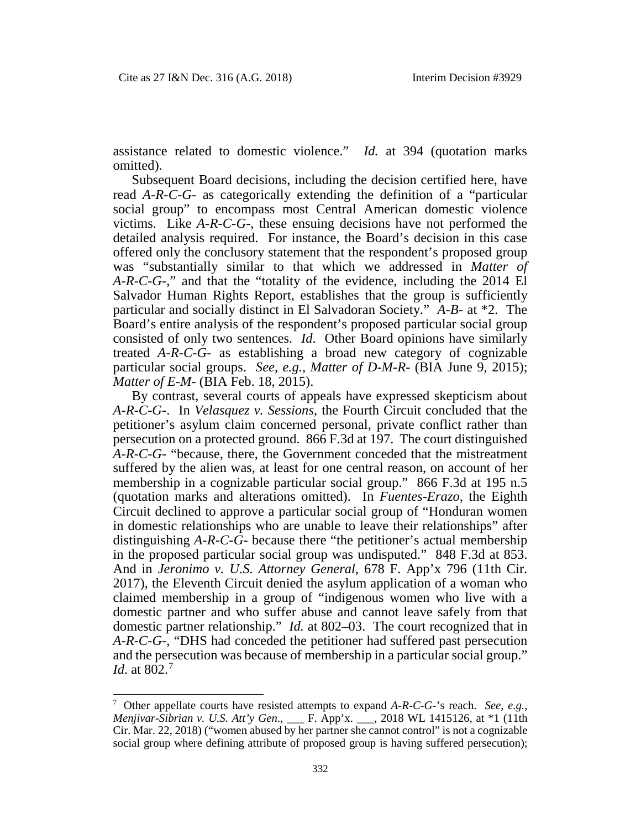assistance related to domestic violence." *Id.* at 394 (quotation marks omitted).

Subsequent Board decisions, including the decision certified here, have read *A-R-C-G-* as categorically extending the definition of a "particular social group" to encompass most Central American domestic violence victims. Like *A-R-C-G-*, these ensuing decisions have not performed the detailed analysis required. For instance, the Board's decision in this case offered only the conclusory statement that the respondent's proposed group was "substantially similar to that which we addressed in *Matter of A-R-C-G-*," and that the "totality of the evidence, including the 2014 El Salvador Human Rights Report, establishes that the group is sufficiently particular and socially distinct in El Salvadoran Society." *A-B-* at \*2. The Board's entire analysis of the respondent's proposed particular social group consisted of only two sentences. *Id*. Other Board opinions have similarly treated *A-R-C-G-* as establishing a broad new category of cognizable particular social groups. *See, e.g.*, *Matter of D-M-R-* (BIA June 9, 2015); *Matter of E-M-* (BIA Feb. 18, 2015).

By contrast, several courts of appeals have expressed skepticism about *A-R-C-G-*. In *Velasquez v. Sessions*, the Fourth Circuit concluded that the petitioner's asylum claim concerned personal, private conflict rather than persecution on a protected ground. 866 F.3d at 197. The court distinguished *A-R-C-G-* "because, there, the Government conceded that the mistreatment suffered by the alien was, at least for one central reason, on account of her membership in a cognizable particular social group." 866 F.3d at 195 n.5 (quotation marks and alterations omitted). In *Fuentes-Erazo*, the Eighth Circuit declined to approve a particular social group of "Honduran women in domestic relationships who are unable to leave their relationships" after distinguishing *A-R-C-G-* because there "the petitioner's actual membership in the proposed particular social group was undisputed." 848 F.3d at 853. And in *Jeronimo v. U.S. Attorney General*, 678 F. App'x 796 (11th Cir. 2017), the Eleventh Circuit denied the asylum application of a woman who claimed membership in a group of "indigenous women who live with a domestic partner and who suffer abuse and cannot leave safely from that domestic partner relationship." *Id.* at 802–03. The court recognized that in *A-R-C-G-*, "DHS had conceded the petitioner had suffered past persecution and the persecution was because of membership in a particular social group." *Id.* at  $802.7$  $802.7$ 

<span id="page-16-0"></span> <sup>7</sup> Other appellate courts have resisted attempts to expand *A-R-C-G-*'s reach. *See*, *e*.*g.*, *Menjivar-Sibrian v. U.S. Att'y Gen*., \_\_\_ F. App'x. \_\_\_, 2018 WL 1415126, at \*1 (11th Cir. Mar. 22, 2018) ("women abused by her partner she cannot control" is not a cognizable social group where defining attribute of proposed group is having suffered persecution);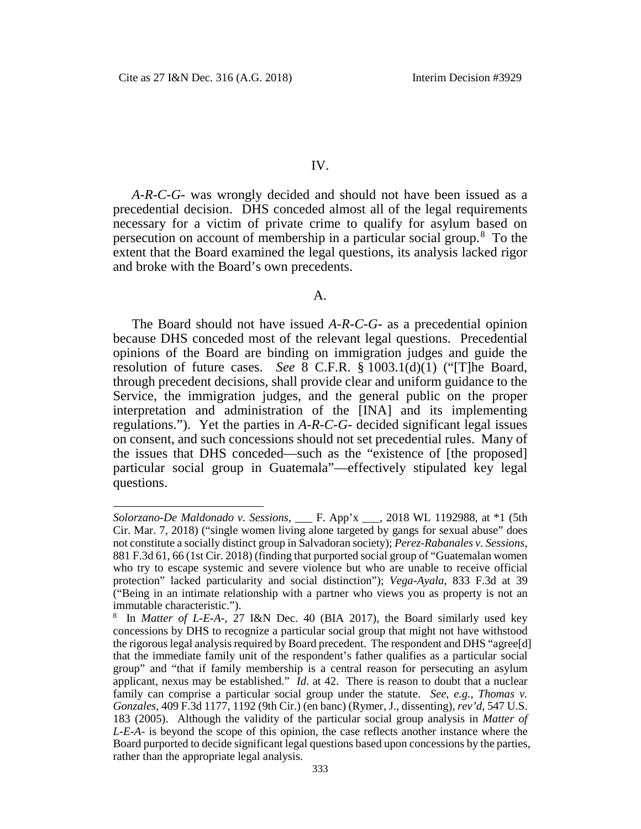$\overline{a}$ 

## IV.

*A-R-C-G-* was wrongly decided and should not have been issued as a precedential decision. DHS conceded almost all of the legal requirements necessary for a victim of private crime to qualify for asylum based on persecution on account of membership in a particular social group.[8](#page-17-0) To the extent that the Board examined the legal questions, its analysis lacked rigor and broke with the Board's own precedents.

#### A.

The Board should not have issued *A-R-C-G-* as a precedential opinion because DHS conceded most of the relevant legal questions. Precedential opinions of the Board are binding on immigration judges and guide the resolution of future cases. *See* 8 C.F.R. § 1003.1(d)(1) ("[T]he Board, through precedent decisions, shall provide clear and uniform guidance to the Service, the immigration judges, and the general public on the proper interpretation and administration of the [INA] and its implementing regulations."). Yet the parties in *A-R-C-G-* decided significant legal issues on consent, and such concessions should not set precedential rules. Many of the issues that DHS conceded—such as the "existence of [the proposed] particular social group in Guatemala"—effectively stipulated key legal questions.

*Solorzano-De Maldonado v. Sessions*, \_\_\_ F. App'x \_\_\_, 2018 WL 1192988, at \*1 (5th Cir. Mar. 7, 2018) ("single women living alone targeted by gangs for sexual abuse" does not constitute a socially distinct group in Salvadoran society); *Perez-Rabanales v. Sessions*, 881 F.3d 61, 66 (1st Cir. 2018) (finding that purported social group of "Guatemalan women who try to escape systemic and severe violence but who are unable to receive official protection" lacked particularity and social distinction"); *Vega-Ayala*, 833 F.3d at 39 ("Being in an intimate relationship with a partner who views you as property is not an immutable characteristic.").

<span id="page-17-0"></span><sup>8</sup> In *Matter of L-E-A-*, 27 I&N Dec. 40 (BIA 2017), the Board similarly used key concessions by DHS to recognize a particular social group that might not have withstood the rigorous legal analysis required by Board precedent. The respondent and DHS "agree[d] that the immediate family unit of the respondent's father qualifies as a particular social group" and "that if family membership is a central reason for persecuting an asylum applicant, nexus may be established." *Id*. at 42. There is reason to doubt that a nuclear family can comprise a particular social group under the statute. *See, e.g.*, *Thomas v. Gonzales*, 409 F.3d 1177, 1192 (9th Cir.) (en banc) (Rymer, J., dissenting), *rev'd*, 547 U.S. 183 (2005). Although the validity of the particular social group analysis in *Matter of L-E-A-* is beyond the scope of this opinion, the case reflects another instance where the Board purported to decide significant legal questions based upon concessions by the parties, rather than the appropriate legal analysis.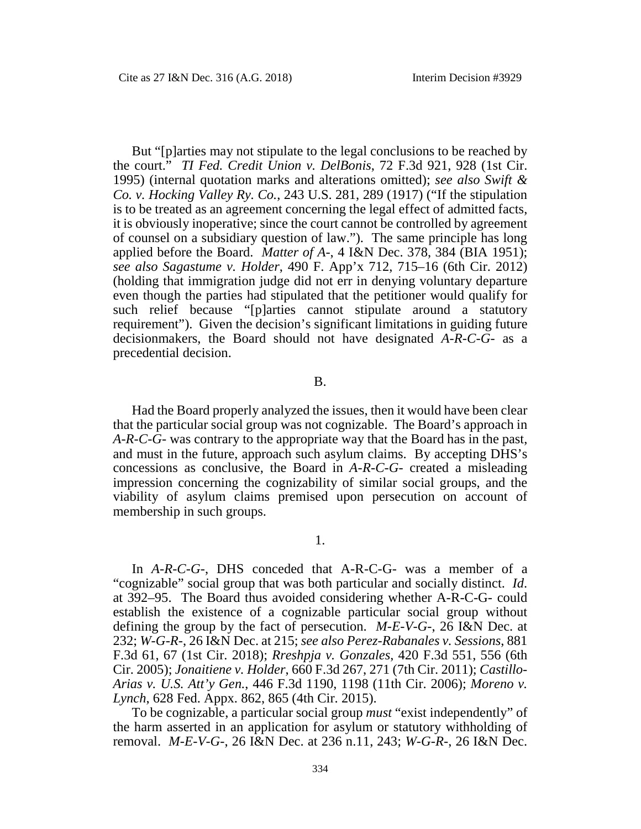But "[p]arties may not stipulate to the legal conclusions to be reached by the court." *TI Fed. Credit Union v. DelBonis*, 72 F.3d 921, 928 (1st Cir. 1995) (internal quotation marks and alterations omitted); *see also Swift & Co. v. Hocking Valley Ry. Co.*, 243 U.S. 281, 289 (1917) ("If the stipulation is to be treated as an agreement concerning the legal effect of admitted facts, it is obviously inoperative; since the court cannot be controlled by agreement of counsel on a subsidiary question of law."). The same principle has long applied before the Board. *Matter of A-*, 4 I&N Dec. 378, 384 (BIA 1951); *see also Sagastume v. Holder*, 490 F. App'x 712, 715–16 (6th Cir. 2012) (holding that immigration judge did not err in denying voluntary departure even though the parties had stipulated that the petitioner would qualify for such relief because "[p]arties cannot stipulate around a statutory requirement"). Given the decision's significant limitations in guiding future decisionmakers, the Board should not have designated *A-R-C-G-* as a precedential decision.

## B.

Had the Board properly analyzed the issues, then it would have been clear that the particular social group was not cognizable. The Board's approach in *A-R-C-G-* was contrary to the appropriate way that the Board has in the past, and must in the future, approach such asylum claims. By accepting DHS's concessions as conclusive, the Board in *A-R-C-G-* created a misleading impression concerning the cognizability of similar social groups, and the viability of asylum claims premised upon persecution on account of membership in such groups.

1.

In *A-R-C-G-*, DHS conceded that A-R-C-G- was a member of a "cognizable" social group that was both particular and socially distinct. *Id*. at 392–95. The Board thus avoided considering whether A-R-C-G- could establish the existence of a cognizable particular social group without defining the group by the fact of persecution. *M-E-V-G-*, 26 I&N Dec. at 232; *W-G-R-*, 26 I&N Dec. at 215; *see also Perez-Rabanales v. Sessions*, 881 F.3d 61, 67 (1st Cir. 2018); *Rreshpja v. Gonzales*, 420 F.3d 551, 556 (6th Cir. 2005); *Jonaitiene v. Holder*, 660 F.3d 267, 271 (7th Cir. 2011); *Castillo-Arias v. U.S. Att'y Gen.*, 446 F.3d 1190, 1198 (11th Cir. 2006); *Moreno v. Lynch*, 628 Fed. Appx. 862, 865 (4th Cir. 2015).

To be cognizable, a particular social group *must* "exist independently" of the harm asserted in an application for asylum or statutory withholding of removal. *M-E-V-G-*, 26 I&N Dec. at 236 n.11, 243; *W-G-R-*, 26 I&N Dec.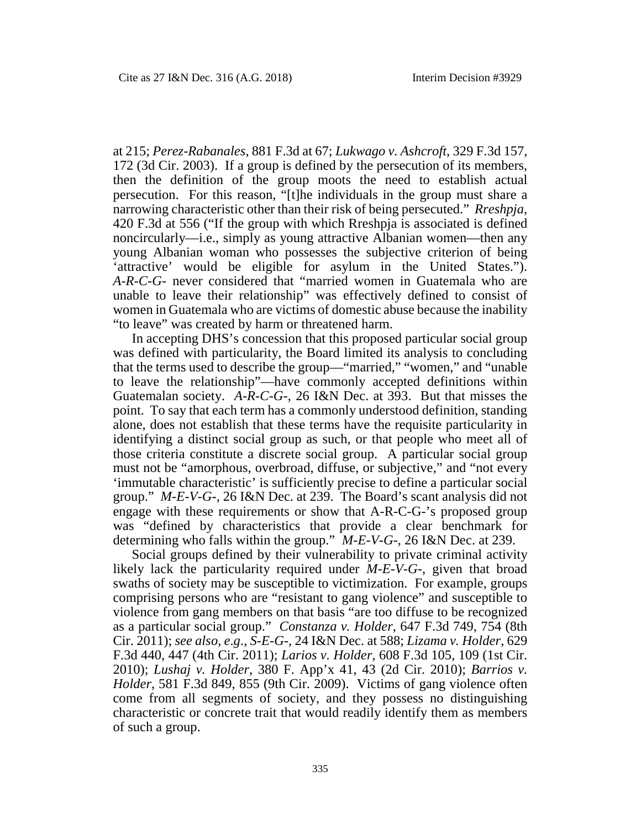at 215; *Perez-Rabanales*, 881 F.3d at 67; *Lukwago v. Ashcroft*, 329 F.3d 157, 172 (3d Cir. 2003). If a group is defined by the persecution of its members, then the definition of the group moots the need to establish actual persecution. For this reason, "[t]he individuals in the group must share a narrowing characteristic other than their risk of being persecuted." *Rreshpja*, 420 F.3d at 556 ("If the group with which Rreshpja is associated is defined noncircularly—i.e., simply as young attractive Albanian women—then any young Albanian woman who possesses the subjective criterion of being 'attractive' would be eligible for asylum in the United States."). *A-R-C-G-* never considered that "married women in Guatemala who are unable to leave their relationship" was effectively defined to consist of women in Guatemala who are victims of domestic abuse because the inability "to leave" was created by harm or threatened harm.

In accepting DHS's concession that this proposed particular social group was defined with particularity, the Board limited its analysis to concluding that the terms used to describe the group—"married," "women," and "unable to leave the relationship"—have commonly accepted definitions within Guatemalan society. *A-R-C-G-*, 26 I&N Dec. at 393. But that misses the point. To say that each term has a commonly understood definition, standing alone, does not establish that these terms have the requisite particularity in identifying a distinct social group as such, or that people who meet all of those criteria constitute a discrete social group. A particular social group must not be "amorphous, overbroad, diffuse, or subjective," and "not every 'immutable characteristic' is sufficiently precise to define a particular social group." *M-E-V-G-*, 26 I&N Dec. at 239. The Board's scant analysis did not engage with these requirements or show that A-R-C-G-'s proposed group was "defined by characteristics that provide a clear benchmark for determining who falls within the group." *M-E-V-G-*, 26 I&N Dec. at 239.

Social groups defined by their vulnerability to private criminal activity likely lack the particularity required under *M-E-V-G-*, given that broad swaths of society may be susceptible to victimization. For example, groups comprising persons who are "resistant to gang violence" and susceptible to violence from gang members on that basis "are too diffuse to be recognized as a particular social group." *Constanza v. Holder*, 647 F.3d 749, 754 (8th Cir. 2011); *see also*, *e*.*g*., *S-E-G-*, 24 I&N Dec. at 588; *Lizama v. Holder*, 629 F.3d 440, 447 (4th Cir. 2011); *Larios v. Holder*, 608 F.3d 105, 109 (1st Cir. 2010); *Lushaj v. Holder*, 380 F. App'x 41, 43 (2d Cir. 2010); *Barrios v. Holder*, 581 F.3d 849, 855 (9th Cir. 2009). Victims of gang violence often come from all segments of society, and they possess no distinguishing characteristic or concrete trait that would readily identify them as members of such a group.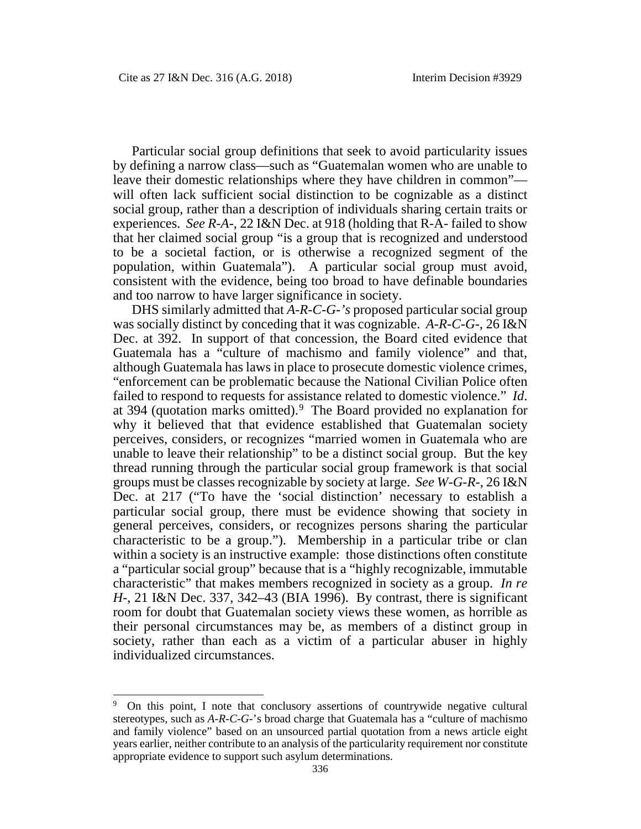Particular social group definitions that seek to avoid particularity issues by defining a narrow class—such as "Guatemalan women who are unable to leave their domestic relationships where they have children in common" will often lack sufficient social distinction to be cognizable as a distinct social group, rather than a description of individuals sharing certain traits or experiences. *See R-A-*, 22 I&N Dec. at 918 (holding that R-A- failed to show that her claimed social group "is a group that is recognized and understood to be a societal faction, or is otherwise a recognized segment of the population, within Guatemala"). A particular social group must avoid, consistent with the evidence, being too broad to have definable boundaries and too narrow to have larger significance in society.

DHS similarly admitted that *A-R-C-G-'s* proposed particular social group was socially distinct by conceding that it was cognizable. *A-R-C-G-*, 26 I&N Dec. at 392. In support of that concession, the Board cited evidence that Guatemala has a "culture of machismo and family violence" and that, although Guatemala has laws in place to prosecute domestic violence crimes, "enforcement can be problematic because the National Civilian Police often failed to respond to requests for assistance related to domestic violence." *Id*. at 3[9](#page-20-0)4 (quotation marks omitted).<sup>9</sup> The Board provided no explanation for why it believed that that evidence established that Guatemalan society perceives, considers, or recognizes "married women in Guatemala who are unable to leave their relationship" to be a distinct social group. But the key thread running through the particular social group framework is that social groups must be classes recognizable by society at large. *See W-G-R-*, 26 I&N Dec. at 217 ("To have the 'social distinction' necessary to establish a particular social group, there must be evidence showing that society in general perceives, considers, or recognizes persons sharing the particular characteristic to be a group."). Membership in a particular tribe or clan within a society is an instructive example: those distinctions often constitute a "particular social group" because that is a "highly recognizable, immutable characteristic" that makes members recognized in society as a group. *In re H-*, 21 I&N Dec. 337, 342–43 (BIA 1996). By contrast, there is significant room for doubt that Guatemalan society views these women, as horrible as their personal circumstances may be, as members of a distinct group in society, rather than each as a victim of a particular abuser in highly individualized circumstances.

<span id="page-20-0"></span> <sup>9</sup> On this point, I note that conclusory assertions of countrywide negative cultural stereotypes, such as *A-R-C-G-*'s broad charge that Guatemala has a "culture of machismo and family violence" based on an unsourced partial quotation from a news article eight years earlier, neither contribute to an analysis of the particularity requirement nor constitute appropriate evidence to support such asylum determinations.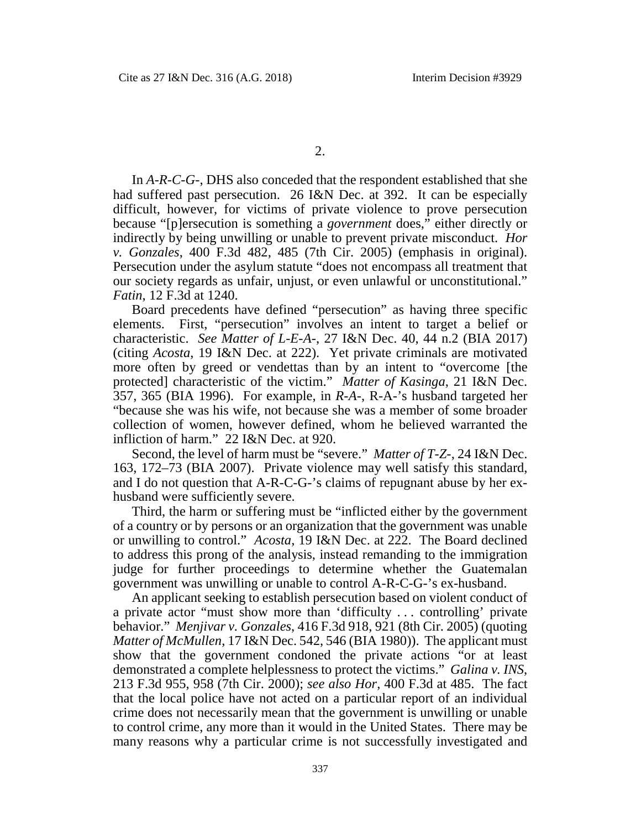In *A-R-C-G-*, DHS also conceded that the respondent established that she had suffered past persecution. 26 I&N Dec. at 392. It can be especially difficult, however, for victims of private violence to prove persecution because "[p]ersecution is something a *government* does," either directly or indirectly by being unwilling or unable to prevent private misconduct. *Hor v. Gonzales*, 400 F.3d 482, 485 (7th Cir. 2005) (emphasis in original). Persecution under the asylum statute "does not encompass all treatment that our society regards as unfair, unjust, or even unlawful or unconstitutional." *Fatin*, 12 F.3d at 1240.

Board precedents have defined "persecution" as having three specific elements. First, "persecution" involves an intent to target a belief or characteristic. *See Matter of L-E-A-*, 27 I&N Dec. 40, 44 n.2 (BIA 2017) (citing *Acosta*, 19 I&N Dec. at 222). Yet private criminals are motivated more often by greed or vendettas than by an intent to "overcome [the protected] characteristic of the victim." *Matter of Kasinga*, 21 I&N Dec. 357, 365 (BIA 1996). For example, in *R-A-*, R-A-'s husband targeted her "because she was his wife, not because she was a member of some broader collection of women, however defined, whom he believed warranted the infliction of harm." 22 I&N Dec. at 920.

Second, the level of harm must be "severe." *Matter of T-Z-*, 24 I&N Dec. 163, 172–73 (BIA 2007). Private violence may well satisfy this standard, and I do not question that A-R-C-G-'s claims of repugnant abuse by her exhusband were sufficiently severe.

Third, the harm or suffering must be "inflicted either by the government of a country or by persons or an organization that the government was unable or unwilling to control." *Acosta*, 19 I&N Dec. at 222. The Board declined to address this prong of the analysis, instead remanding to the immigration judge for further proceedings to determine whether the Guatemalan government was unwilling or unable to control A-R-C-G-'s ex-husband.

An applicant seeking to establish persecution based on violent conduct of a private actor "must show more than 'difficulty . . . controlling' private behavior." *Menjivar v. Gonzales*, 416 F.3d 918, 921 (8th Cir. 2005) (quoting *Matter of McMullen*, 17 I&N Dec. 542, 546 (BIA 1980)). The applicant must show that the government condoned the private actions "or at least demonstrated a complete helplessness to protect the victims." *Galina v. INS*, 213 F.3d 955, 958 (7th Cir. 2000); *see also Hor*, 400 F.3d at 485. The fact that the local police have not acted on a particular report of an individual crime does not necessarily mean that the government is unwilling or unable to control crime, any more than it would in the United States. There may be many reasons why a particular crime is not successfully investigated and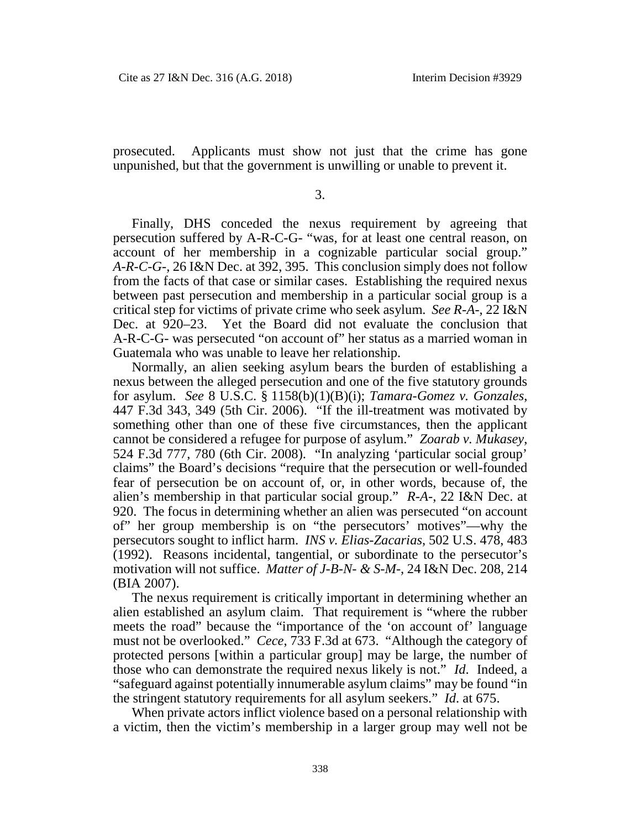prosecuted. Applicants must show not just that the crime has gone unpunished, but that the government is unwilling or unable to prevent it.

3.

Finally, DHS conceded the nexus requirement by agreeing that persecution suffered by A-R-C-G- "was, for at least one central reason, on account of her membership in a cognizable particular social group." *A-R-C-G-*, 26 I&N Dec. at 392, 395. This conclusion simply does not follow from the facts of that case or similar cases. Establishing the required nexus between past persecution and membership in a particular social group is a critical step for victims of private crime who seek asylum. *See R-A-*, 22 I&N Dec. at 920–23. Yet the Board did not evaluate the conclusion that A-R-C-G- was persecuted "on account of" her status as a married woman in Guatemala who was unable to leave her relationship.

Normally, an alien seeking asylum bears the burden of establishing a nexus between the alleged persecution and one of the five statutory grounds for asylum. *See* 8 U.S.C. § 1158(b)(1)(B)(i); *Tamara-Gomez v. Gonzales*, 447 F.3d 343, 349 (5th Cir. 2006). "If the ill-treatment was motivated by something other than one of these five circumstances, then the applicant cannot be considered a refugee for purpose of asylum." *Zoarab v. Mukasey*, 524 F.3d 777, 780 (6th Cir. 2008). "In analyzing 'particular social group' claims" the Board's decisions "require that the persecution or well-founded fear of persecution be on account of, or, in other words, because of, the alien's membership in that particular social group." *R-A-*, 22 I&N Dec. at 920. The focus in determining whether an alien was persecuted "on account of" her group membership is on "the persecutors' motives"—why the persecutors sought to inflict harm. *INS v. Elias-Zacarias*, 502 U.S. 478, 483 (1992). Reasons incidental, tangential, or subordinate to the persecutor's motivation will not suffice. *Matter of J-B-N- & S-M-*, 24 I&N Dec. 208, 214 (BIA 2007).

The nexus requirement is critically important in determining whether an alien established an asylum claim. That requirement is "where the rubber meets the road" because the "importance of the 'on account of' language must not be overlooked." *Cece*, 733 F.3d at 673. "Although the category of protected persons [within a particular group] may be large, the number of those who can demonstrate the required nexus likely is not." *Id*. Indeed, a "safeguard against potentially innumerable asylum claims" may be found "in the stringent statutory requirements for all asylum seekers." *Id*. at 675.

When private actors inflict violence based on a personal relationship with a victim, then the victim's membership in a larger group may well not be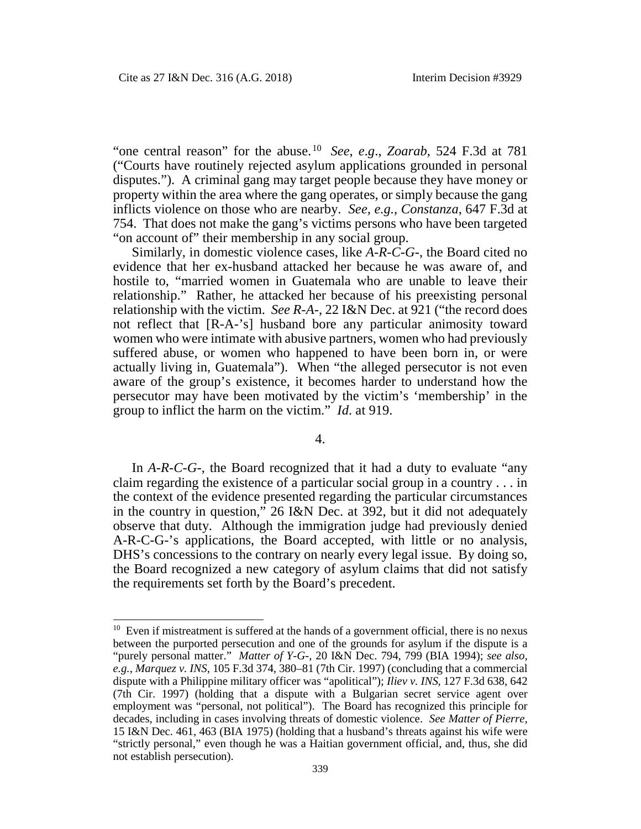"one central reason" for the abuse. [10](#page-23-0) *See*, *e*.*g*., *Zoarab*, 524 F.3d at 781 ("Courts have routinely rejected asylum applications grounded in personal disputes."). A criminal gang may target people because they have money or property within the area where the gang operates, or simply because the gang inflicts violence on those who are nearby. *See, e.g.*, *Constanza*, 647 F.3d at 754. That does not make the gang's victims persons who have been targeted "on account of" their membership in any social group.

Similarly, in domestic violence cases, like *A-R-C-G-*, the Board cited no evidence that her ex-husband attacked her because he was aware of, and hostile to, "married women in Guatemala who are unable to leave their relationship." Rather, he attacked her because of his preexisting personal relationship with the victim. *See R-A-*, 22 I&N Dec. at 921 ("the record does not reflect that [R-A-'s] husband bore any particular animosity toward women who were intimate with abusive partners, women who had previously suffered abuse, or women who happened to have been born in, or were actually living in, Guatemala"). When "the alleged persecutor is not even aware of the group's existence, it becomes harder to understand how the persecutor may have been motivated by the victim's 'membership' in the group to inflict the harm on the victim." *Id*. at 919.

#### 4.

In *A-R-C-G-*, the Board recognized that it had a duty to evaluate "any claim regarding the existence of a particular social group in a country . . . in the context of the evidence presented regarding the particular circumstances in the country in question," 26 I&N Dec. at 392, but it did not adequately observe that duty. Although the immigration judge had previously denied A-R-C-G-'s applications, the Board accepted, with little or no analysis, DHS's concessions to the contrary on nearly every legal issue. By doing so, the Board recognized a new category of asylum claims that did not satisfy the requirements set forth by the Board's precedent.

<span id="page-23-0"></span> $10$  Even if mistreatment is suffered at the hands of a government official, there is no nexus between the purported persecution and one of the grounds for asylum if the dispute is a "purely personal matter." *Matter of Y-G-*, 20 I&N Dec. 794, 799 (BIA 1994); *see also*, *e.g.*, *Marquez v. INS*, 105 F.3d 374, 380–81 (7th Cir. 1997) (concluding that a commercial dispute with a Philippine military officer was "apolitical"); *Iliev v. INS*, 127 F.3d 638, 642 (7th Cir. 1997) (holding that a dispute with a Bulgarian secret service agent over employment was "personal, not political"). The Board has recognized this principle for decades, including in cases involving threats of domestic violence. *See Matter of Pierre*, 15 I&N Dec. 461, 463 (BIA 1975) (holding that a husband's threats against his wife were "strictly personal," even though he was a Haitian government official, and, thus, she did not establish persecution).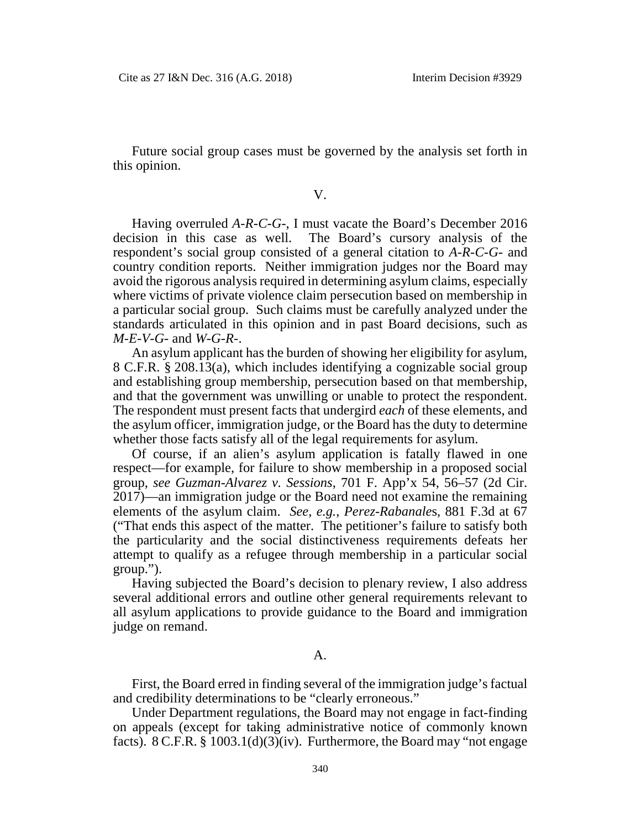Future social group cases must be governed by the analysis set forth in this opinion.

#### V.

Having overruled *A-R-C-G-*, I must vacate the Board's December 2016 decision in this case as well. The Board's cursory analysis of the respondent's social group consisted of a general citation to *A-R-C-G-* and country condition reports. Neither immigration judges nor the Board may avoid the rigorous analysis required in determining asylum claims, especially where victims of private violence claim persecution based on membership in a particular social group. Such claims must be carefully analyzed under the standards articulated in this opinion and in past Board decisions, such as *M-E-V-G-* and *W-G-R-*.

An asylum applicant has the burden of showing her eligibility for asylum, 8 C.F.R. § 208.13(a), which includes identifying a cognizable social group and establishing group membership, persecution based on that membership, and that the government was unwilling or unable to protect the respondent. The respondent must present facts that undergird *each* of these elements, and the asylum officer, immigration judge, or the Board has the duty to determine whether those facts satisfy all of the legal requirements for asylum.

Of course, if an alien's asylum application is fatally flawed in one respect—for example, for failure to show membership in a proposed social group, *see Guzman-Alvarez v. Sessions*, 701 F. App'x 54, 56–57 (2d Cir. 2017)—an immigration judge or the Board need not examine the remaining elements of the asylum claim. *See, e.g.*, *Perez-Rabanale*s, 881 F.3d at 67 ("That ends this aspect of the matter. The petitioner's failure to satisfy both the particularity and the social distinctiveness requirements defeats her attempt to qualify as a refugee through membership in a particular social group.").

Having subjected the Board's decision to plenary review, I also address several additional errors and outline other general requirements relevant to all asylum applications to provide guidance to the Board and immigration judge on remand.

## A.

First, the Board erred in finding several of the immigration judge's factual and credibility determinations to be "clearly erroneous."

Under Department regulations, the Board may not engage in fact-finding on appeals (except for taking administrative notice of commonly known facts). 8 C.F.R. § 1003.1(d)(3)(iv). Furthermore, the Board may "not engage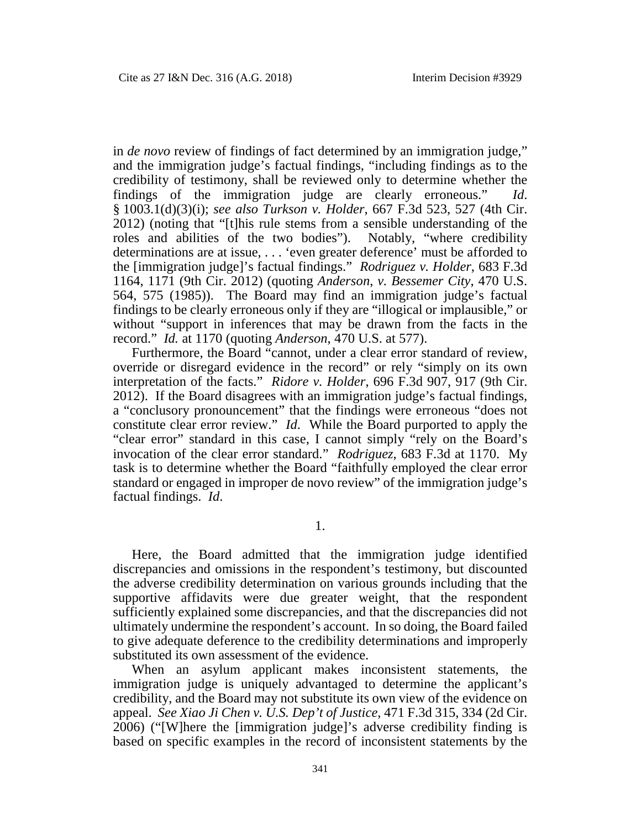in *de novo* review of findings of fact determined by an immigration judge," and the immigration judge's factual findings, "including findings as to the credibility of testimony, shall be reviewed only to determine whether the findings of the immigration judge are clearly erroneous." *Id*. § 1003.1(d)(3)(i); *see also Turkson v. Holder*, 667 F.3d 523, 527 (4th Cir. 2012) (noting that "[t]his rule stems from a sensible understanding of the roles and abilities of the two bodies"). Notably, "where credibility determinations are at issue, . . . 'even greater deference' must be afforded to the [immigration judge]'s factual findings." *Rodriguez v. Holder*, 683 F.3d 1164, 1171 (9th Cir. 2012) (quoting *Anderson*, *v. Bessemer City*, 470 U.S. 564, 575 (1985)). The Board may find an immigration judge's factual findings to be clearly erroneous only if they are "illogical or implausible," or without "support in inferences that may be drawn from the facts in the record." *Id.* at 1170 (quoting *Anderson*, 470 U.S. at 577).

Furthermore, the Board "cannot, under a clear error standard of review, override or disregard evidence in the record" or rely "simply on its own interpretation of the facts." *Ridore v. Holder*, 696 F.3d 907, 917 (9th Cir. 2012). If the Board disagrees with an immigration judge's factual findings, a "conclusory pronouncement" that the findings were erroneous "does not constitute clear error review." *Id*. While the Board purported to apply the "clear error" standard in this case, I cannot simply "rely on the Board's invocation of the clear error standard." *Rodriguez*, 683 F.3d at 1170. My task is to determine whether the Board "faithfully employed the clear error standard or engaged in improper de novo review" of the immigration judge's factual findings. *Id*.

1.

Here, the Board admitted that the immigration judge identified discrepancies and omissions in the respondent's testimony, but discounted the adverse credibility determination on various grounds including that the supportive affidavits were due greater weight, that the respondent sufficiently explained some discrepancies, and that the discrepancies did not ultimately undermine the respondent's account. In so doing, the Board failed to give adequate deference to the credibility determinations and improperly substituted its own assessment of the evidence.

When an asylum applicant makes inconsistent statements, the immigration judge is uniquely advantaged to determine the applicant's credibility, and the Board may not substitute its own view of the evidence on appeal. *See Xiao Ji Chen v. U.S. Dep't of Justice*, 471 F.3d 315, 334 (2d Cir. 2006) ("[W]here the [immigration judge]'s adverse credibility finding is based on specific examples in the record of inconsistent statements by the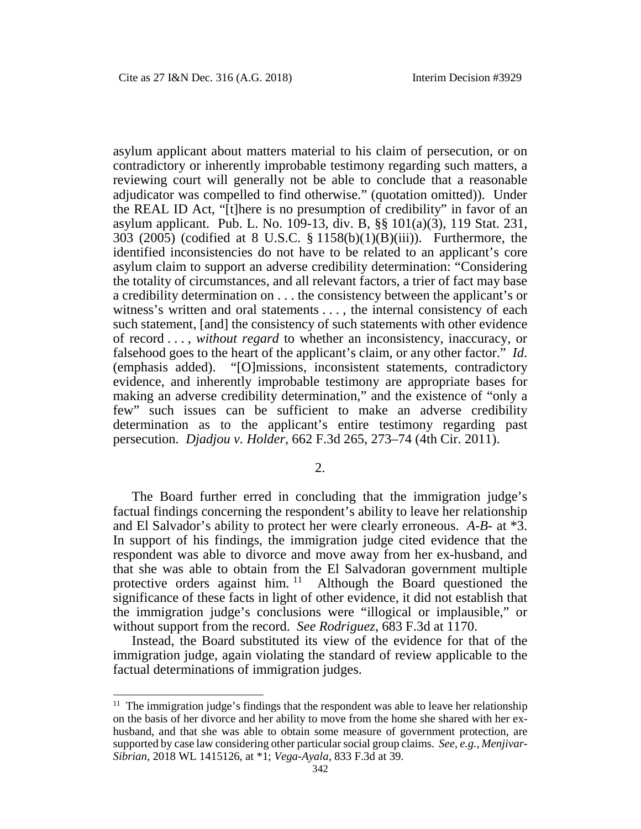asylum applicant about matters material to his claim of persecution, or on contradictory or inherently improbable testimony regarding such matters, a reviewing court will generally not be able to conclude that a reasonable adjudicator was compelled to find otherwise." (quotation omitted)). Under the REAL ID Act, "[t]here is no presumption of credibility" in favor of an asylum applicant. Pub. L. No. 109-13, div. B, §§ 101(a)(3), 119 Stat. 231, 303 (2005) (codified at 8 U.S.C. § 1158(b)(1)(B)(iii)). Furthermore, the identified inconsistencies do not have to be related to an applicant's core asylum claim to support an adverse credibility determination: "Considering the totality of circumstances, and all relevant factors, a trier of fact may base a credibility determination on . . . the consistency between the applicant's or witness's written and oral statements . . . , the internal consistency of each such statement, [and] the consistency of such statements with other evidence of record . . . , *without regard* to whether an inconsistency, inaccuracy, or falsehood goes to the heart of the applicant's claim, or any other factor." *Id*. (emphasis added). "[O]missions, inconsistent statements, contradictory evidence, and inherently improbable testimony are appropriate bases for making an adverse credibility determination," and the existence of "only a few" such issues can be sufficient to make an adverse credibility determination as to the applicant's entire testimony regarding past persecution. *Djadjou v. Holder*, 662 F.3d 265, 273–74 (4th Cir. 2011).

2.

The Board further erred in concluding that the immigration judge's factual findings concerning the respondent's ability to leave her relationship and El Salvador's ability to protect her were clearly erroneous. *A-B-* at \*3. In support of his findings, the immigration judge cited evidence that the respondent was able to divorce and move away from her ex-husband, and that she was able to obtain from the El Salvadoran government multiple protective orders against him. <sup>[11](#page-26-0)</sup> Although the Board questioned the significance of these facts in light of other evidence, it did not establish that the immigration judge's conclusions were "illogical or implausible," or without support from the record. *See Rodriguez*, 683 F.3d at 1170.

Instead, the Board substituted its view of the evidence for that of the immigration judge, again violating the standard of review applicable to the factual determinations of immigration judges.

<span id="page-26-0"></span> $11$  The immigration judge's findings that the respondent was able to leave her relationship on the basis of her divorce and her ability to move from the home she shared with her exhusband, and that she was able to obtain some measure of government protection, are supported by case law considering other particular social group claims. *See, e.g.*, *Menjivar-Sibrian*, 2018 WL 1415126, at \*1; *Vega-Ayala*, 833 F.3d at 39.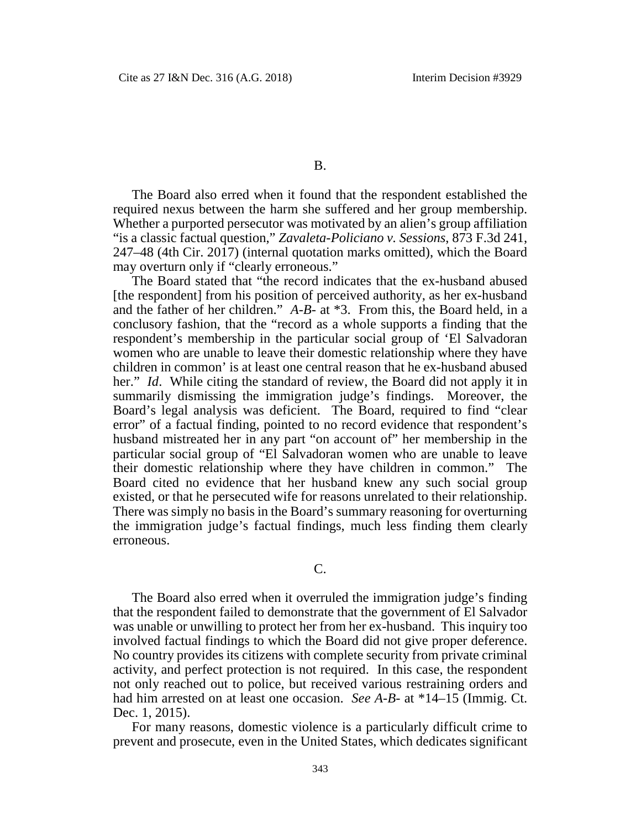B.

The Board also erred when it found that the respondent established the required nexus between the harm she suffered and her group membership. Whether a purported persecutor was motivated by an alien's group affiliation "is a classic factual question," *Zavaleta-Policiano v. Sessions*, 873 F.3d 241, 247–48 (4th Cir. 2017) (internal quotation marks omitted), which the Board may overturn only if "clearly erroneous."

The Board stated that "the record indicates that the ex-husband abused [the respondent] from his position of perceived authority, as her ex-husband and the father of her children." *A-B-* at \*3. From this, the Board held, in a conclusory fashion, that the "record as a whole supports a finding that the respondent's membership in the particular social group of 'El Salvadoran women who are unable to leave their domestic relationship where they have children in common' is at least one central reason that he ex-husband abused her." *Id*. While citing the standard of review, the Board did not apply it in summarily dismissing the immigration judge's findings. Moreover, the Board's legal analysis was deficient. The Board, required to find "clear error" of a factual finding, pointed to no record evidence that respondent's husband mistreated her in any part "on account of" her membership in the particular social group of "El Salvadoran women who are unable to leave their domestic relationship where they have children in common." The Board cited no evidence that her husband knew any such social group existed, or that he persecuted wife for reasons unrelated to their relationship. There was simply no basis in the Board's summary reasoning for overturning the immigration judge's factual findings, much less finding them clearly erroneous.

C.

The Board also erred when it overruled the immigration judge's finding that the respondent failed to demonstrate that the government of El Salvador was unable or unwilling to protect her from her ex-husband. This inquiry too involved factual findings to which the Board did not give proper deference. No country provides its citizens with complete security from private criminal activity, and perfect protection is not required. In this case, the respondent not only reached out to police, but received various restraining orders and had him arrested on at least one occasion. *See A-B-* at \*14–15 (Immig. Ct. Dec. 1, 2015).

For many reasons, domestic violence is a particularly difficult crime to prevent and prosecute, even in the United States, which dedicates significant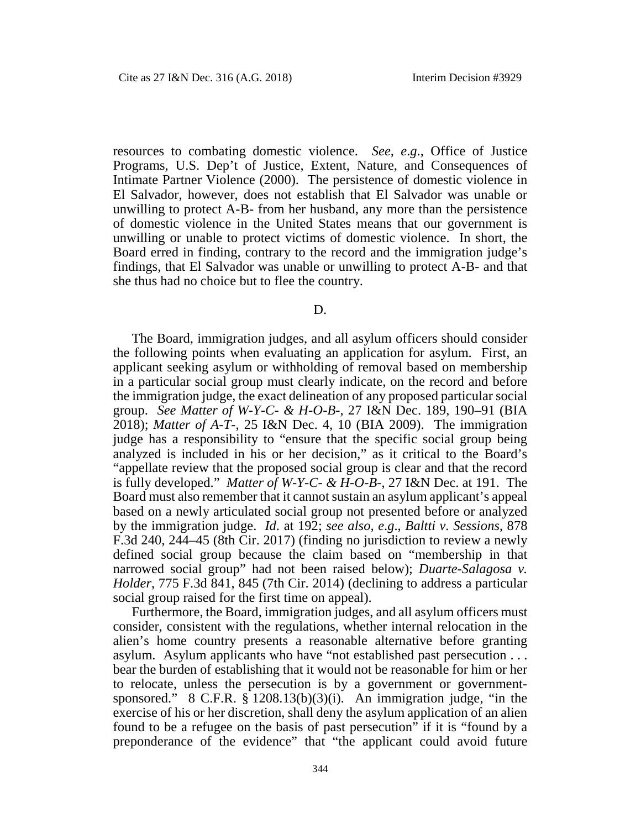resources to combating domestic violence. *See, e*.*g*., Office of Justice Programs, U.S. Dep't of Justice, Extent, Nature, and Consequences of Intimate Partner Violence (2000). The persistence of domestic violence in El Salvador, however, does not establish that El Salvador was unable or unwilling to protect A-B- from her husband, any more than the persistence of domestic violence in the United States means that our government is unwilling or unable to protect victims of domestic violence. In short, the Board erred in finding, contrary to the record and the immigration judge's findings, that El Salvador was unable or unwilling to protect A-B- and that she thus had no choice but to flee the country.

#### D.

The Board, immigration judges, and all asylum officers should consider the following points when evaluating an application for asylum. First, an applicant seeking asylum or withholding of removal based on membership in a particular social group must clearly indicate, on the record and before the immigration judge, the exact delineation of any proposed particular social group. *See Matter of W-Y-C- & H-O-B-*, 27 I&N Dec. 189, 190–91 (BIA 2018); *Matter of A-T-*, 25 I&N Dec. 4, 10 (BIA 2009). The immigration judge has a responsibility to "ensure that the specific social group being analyzed is included in his or her decision," as it critical to the Board's "appellate review that the proposed social group is clear and that the record is fully developed." *Matter of W-Y-C- & H-O-B-*, 27 I&N Dec. at 191. The Board must also remember that it cannot sustain an asylum applicant's appeal based on a newly articulated social group not presented before or analyzed by the immigration judge. *Id*. at 192; *see also, e*.*g*., *Baltti v. Sessions*, 878 F.3d 240, 244–45 (8th Cir. 2017) (finding no jurisdiction to review a newly defined social group because the claim based on "membership in that narrowed social group" had not been raised below); *Duarte-Salagosa v. Holder*, 775 F.3d 841, 845 (7th Cir. 2014) (declining to address a particular social group raised for the first time on appeal).

Furthermore, the Board, immigration judges, and all asylum officers must consider, consistent with the regulations, whether internal relocation in the alien's home country presents a reasonable alternative before granting asylum. Asylum applicants who have "not established past persecution . . . bear the burden of establishing that it would not be reasonable for him or her to relocate, unless the persecution is by a government or governmentsponsored." 8 C.F.R.  $\hat{\S}$  1208.13(b)(3)(i). An immigration judge, "in the exercise of his or her discretion, shall deny the asylum application of an alien found to be a refugee on the basis of past persecution" if it is "found by a preponderance of the evidence" that "the applicant could avoid future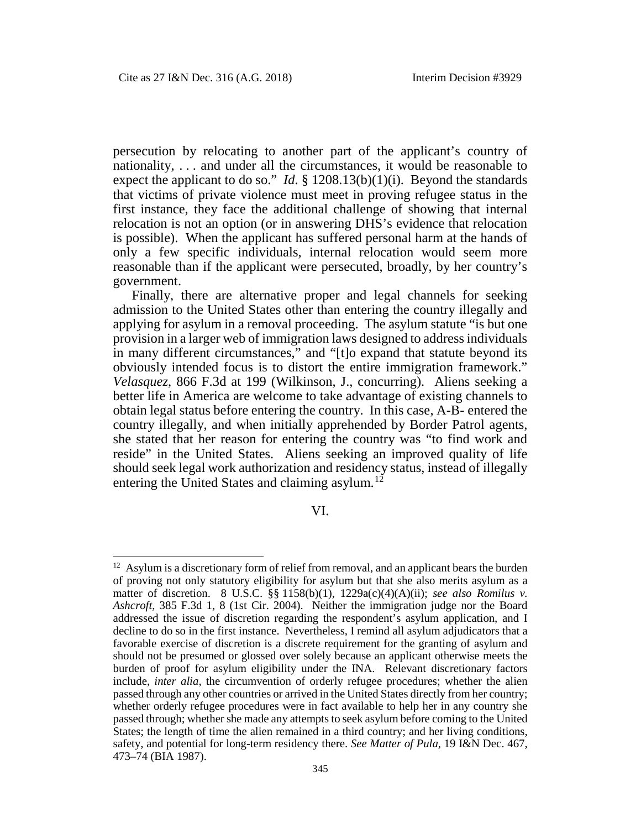persecution by relocating to another part of the applicant's country of nationality, . . . and under all the circumstances, it would be reasonable to expect the applicant to do so." *Id.*  $\S$  1208.13(b)(1)(i). Beyond the standards that victims of private violence must meet in proving refugee status in the first instance, they face the additional challenge of showing that internal relocation is not an option (or in answering DHS's evidence that relocation is possible). When the applicant has suffered personal harm at the hands of only a few specific individuals, internal relocation would seem more reasonable than if the applicant were persecuted, broadly, by her country's government.

Finally, there are alternative proper and legal channels for seeking admission to the United States other than entering the country illegally and applying for asylum in a removal proceeding. The asylum statute "is but one provision in a larger web of immigration laws designed to address individuals in many different circumstances," and "[t]o expand that statute beyond its obviously intended focus is to distort the entire immigration framework." *Velasquez*, 866 F.3d at 199 (Wilkinson, J., concurring). Aliens seeking a better life in America are welcome to take advantage of existing channels to obtain legal status before entering the country. In this case, A-B- entered the country illegally, and when initially apprehended by Border Patrol agents, she stated that her reason for entering the country was "to find work and reside" in the United States. Aliens seeking an improved quality of life should seek legal work authorization and residency status, instead of illegally entering the United States and claiming asylum.<sup>[12](#page-29-0)</sup>

VI.

<span id="page-29-0"></span> $12$  Asylum is a discretionary form of relief from removal, and an applicant bears the burden of proving not only statutory eligibility for asylum but that she also merits asylum as a matter of discretion. 8 U.S.C. §§ 1158(b)(1), 1229a(c)(4)(A)(ii); *see also Romilus v. Ashcroft*, 385 F.3d 1, 8 (1st Cir. 2004). Neither the immigration judge nor the Board addressed the issue of discretion regarding the respondent's asylum application, and I decline to do so in the first instance. Nevertheless, I remind all asylum adjudicators that a favorable exercise of discretion is a discrete requirement for the granting of asylum and should not be presumed or glossed over solely because an applicant otherwise meets the burden of proof for asylum eligibility under the INA. Relevant discretionary factors include, *inter alia*, the circumvention of orderly refugee procedures; whether the alien passed through any other countries or arrived in the United States directly from her country; whether orderly refugee procedures were in fact available to help her in any country she passed through; whether she made any attempts to seek asylum before coming to the United States; the length of time the alien remained in a third country; and her living conditions, safety, and potential for long-term residency there. *See Matter of Pula*, 19 I&N Dec. 467, 473–74 (BIA 1987).